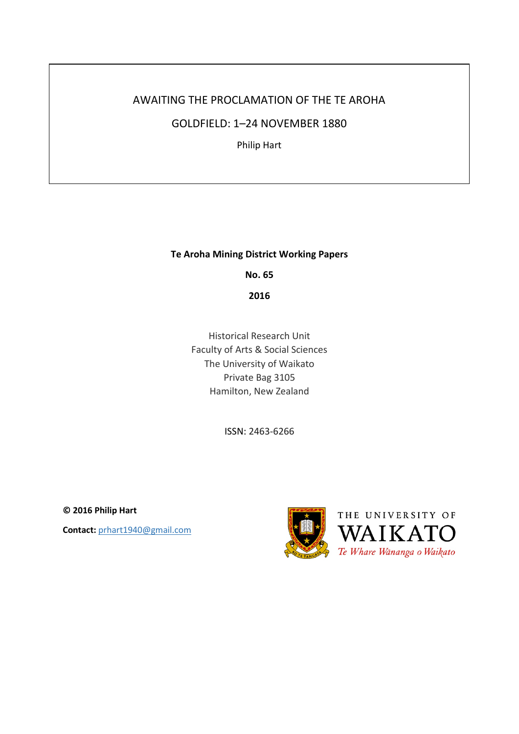# AWAITING THE PROCLAMATION OF THE TE AROHA

GOLDFIELD: 1–24 NOVEMBER 1880

Philip Hart

## **Te Aroha Mining District Working Papers**

**No. 65**

**2016**

Historical Research Unit Faculty of Arts & Social Sciences The University of Waikato Private Bag 3105 Hamilton, New Zealand

ISSN: 2463-6266

**© 2016 Philip Hart Contact:** prhart1940@gmail.com

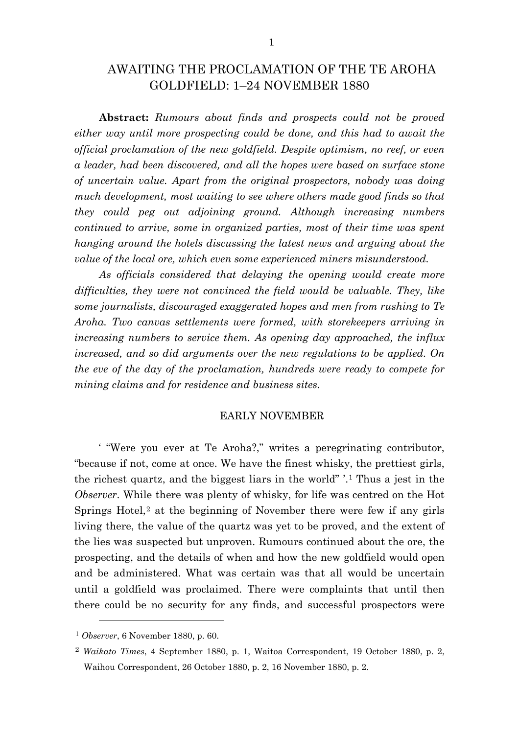# AWAITING THE PROCLAMATION OF THE TE AROHA GOLDFIELD: 1–24 NOVEMBER 1880

**Abstract:** *Rumours about finds and prospects could not be proved either way until more prospecting could be done, and this had to await the official proclamation of the new goldfield. Despite optimism, no reef, or even a leader, had been discovered, and all the hopes were based on surface stone of uncertain value. Apart from the original prospectors, nobody was doing much development, most waiting to see where others made good finds so that they could peg out adjoining ground. Although increasing numbers continued to arrive, some in organized parties, most of their time was spent hanging around the hotels discussing the latest news and arguing about the value of the local ore, which even some experienced miners misunderstood.* 

*As officials considered that delaying the opening would create more difficulties, they were not convinced the field would be valuable. They, like some journalists, discouraged exaggerated hopes and men from rushing to Te Aroha. Two canvas settlements were formed, with storekeepers arriving in increasing numbers to service them. As opening day approached, the influx increased, and so did arguments over the new regulations to be applied. On the eve of the day of the proclamation, hundreds were ready to compete for mining claims and for residence and business sites.*

#### EARLY NOVEMBER

' "Were you ever at Te Aroha?," writes a peregrinating contributor, "because if not, come at once. We have the finest whisky, the prettiest girls, the richest quartz, and the biggest liars in the world" '.[1](#page-1-0) Thus a jest in the *Observer*. While there was plenty of whisky, for life was centred on the Hot Springs Hotel,<sup>[2](#page-1-1)</sup> at the beginning of November there were few if any girls living there, the value of the quartz was yet to be proved, and the extent of the lies was suspected but unproven. Rumours continued about the ore, the prospecting, and the details of when and how the new goldfield would open and be administered. What was certain was that all would be uncertain until a goldfield was proclaimed. There were complaints that until then there could be no security for any finds, and successful prospectors were

<span id="page-1-0"></span><sup>1</sup> *Observer*, 6 November 1880, p. 60.

<span id="page-1-1"></span><sup>2</sup> *Waikato Times*, 4 September 1880, p. 1, Waitoa Correspondent, 19 October 1880, p. 2, Waihou Correspondent, 26 October 1880, p. 2, 16 November 1880, p. 2.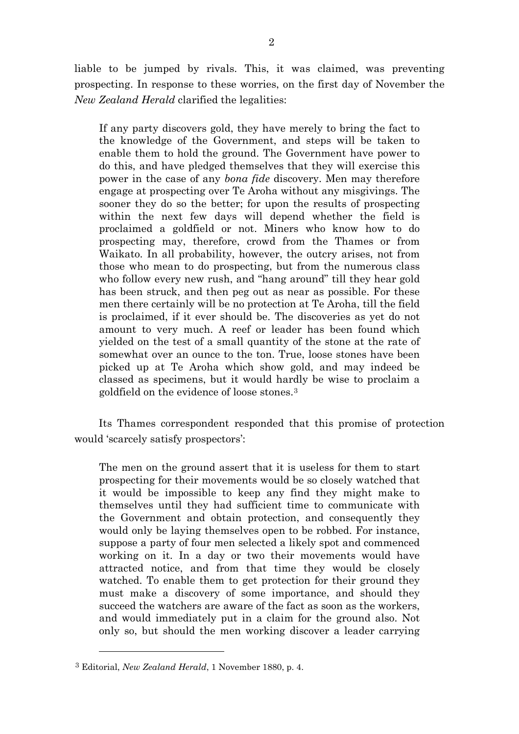liable to be jumped by rivals. This, it was claimed, was preventing prospecting. In response to these worries, on the first day of November the *New Zealand Herald* clarified the legalities:

If any party discovers gold, they have merely to bring the fact to the knowledge of the Government, and steps will be taken to enable them to hold the ground. The Government have power to do this, and have pledged themselves that they will exercise this power in the case of any *bona fide* discovery. Men may therefore engage at prospecting over Te Aroha without any misgivings. The sooner they do so the better; for upon the results of prospecting within the next few days will depend whether the field is proclaimed a goldfield or not. Miners who know how to do prospecting may, therefore, crowd from the Thames or from Waikato. In all probability, however, the outcry arises, not from those who mean to do prospecting, but from the numerous class who follow every new rush, and "hang around" till they hear gold has been struck, and then peg out as near as possible. For these men there certainly will be no protection at Te Aroha, till the field is proclaimed, if it ever should be. The discoveries as yet do not amount to very much. A reef or leader has been found which yielded on the test of a small quantity of the stone at the rate of somewhat over an ounce to the ton. True, loose stones have been picked up at Te Aroha which show gold, and may indeed be classed as specimens, but it would hardly be wise to proclaim a goldfield on the evidence of loose stones.[3](#page-2-0)

Its Thames correspondent responded that this promise of protection would 'scarcely satisfy prospectors':

The men on the ground assert that it is useless for them to start prospecting for their movements would be so closely watched that it would be impossible to keep any find they might make to themselves until they had sufficient time to communicate with the Government and obtain protection, and consequently they would only be laying themselves open to be robbed. For instance, suppose a party of four men selected a likely spot and commenced working on it. In a day or two their movements would have attracted notice, and from that time they would be closely watched. To enable them to get protection for their ground they must make a discovery of some importance, and should they succeed the watchers are aware of the fact as soon as the workers, and would immediately put in a claim for the ground also. Not only so, but should the men working discover a leader carrying

<span id="page-2-0"></span><sup>3</sup> Editorial, *New Zealand Herald*, 1 November 1880, p. 4.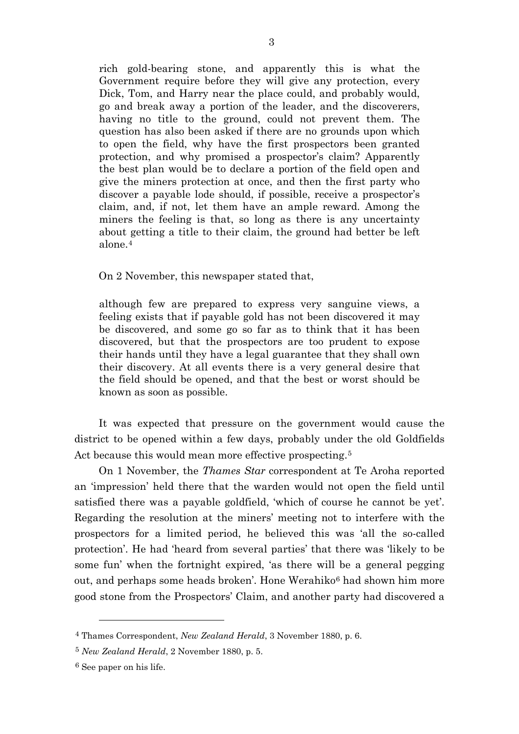rich gold-bearing stone, and apparently this is what the Government require before they will give any protection, every Dick, Tom, and Harry near the place could, and probably would, go and break away a portion of the leader, and the discoverers, having no title to the ground, could not prevent them. The question has also been asked if there are no grounds upon which to open the field, why have the first prospectors been granted protection, and why promised a prospector's claim? Apparently the best plan would be to declare a portion of the field open and give the miners protection at once, and then the first party who discover a payable lode should, if possible, receive a prospector's claim, and, if not, let them have an ample reward. Among the miners the feeling is that, so long as there is any uncertainty about getting a title to their claim, the ground had better be left alone.[4](#page-3-0)

On 2 November, this newspaper stated that,

although few are prepared to express very sanguine views, a feeling exists that if payable gold has not been discovered it may be discovered, and some go so far as to think that it has been discovered, but that the prospectors are too prudent to expose their hands until they have a legal guarantee that they shall own their discovery. At all events there is a very general desire that the field should be opened, and that the best or worst should be known as soon as possible.

It was expected that pressure on the government would cause the district to be opened within a few days, probably under the old Goldfields Act because this would mean more effective prospecting.<sup>[5](#page-3-1)</sup>

On 1 November, the *Thames Star* correspondent at Te Aroha reported an 'impression' held there that the warden would not open the field until satisfied there was a payable goldfield, 'which of course he cannot be yet'. Regarding the resolution at the miners' meeting not to interfere with the prospectors for a limited period, he believed this was 'all the so-called protection'. He had 'heard from several parties' that there was 'likely to be some fun' when the fortnight expired, 'as there will be a general pegging out, and perhaps some heads broken'. Hone Werahiko<sup>[6](#page-3-2)</sup> had shown him more good stone from the Prospectors' Claim, and another party had discovered a

<span id="page-3-0"></span><sup>4</sup> Thames Correspondent, *New Zealand Herald*, 3 November 1880, p. 6.

<span id="page-3-1"></span><sup>5</sup> *New Zealand Herald*, 2 November 1880, p. 5.

<span id="page-3-2"></span><sup>6</sup> See paper on his life.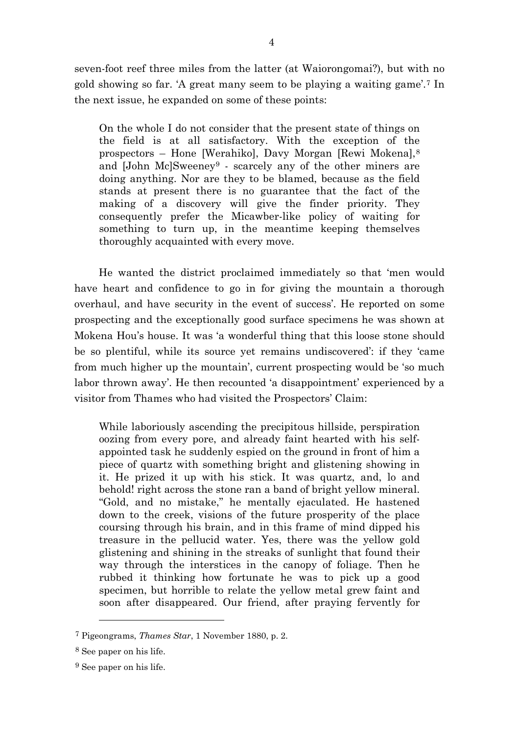seven-foot reef three miles from the latter (at Waiorongomai?), but with no gold showing so far. 'A great many seem to be playing a waiting game'.[7](#page-4-0) In the next issue, he expanded on some of these points:

On the whole I do not consider that the present state of things on the field is at all satisfactory. With the exception of the prospectors – Hone [Werahiko], Davy Morgan [Rewi Mokena],[8](#page-4-1) and [John Mc]Sweeney<sup>[9](#page-4-2)</sup> - scarcely any of the other miners are doing anything. Nor are they to be blamed, because as the field stands at present there is no guarantee that the fact of the making of a discovery will give the finder priority. They consequently prefer the Micawber-like policy of waiting for something to turn up, in the meantime keeping themselves thoroughly acquainted with every move.

He wanted the district proclaimed immediately so that 'men would have heart and confidence to go in for giving the mountain a thorough overhaul, and have security in the event of success'. He reported on some prospecting and the exceptionally good surface specimens he was shown at Mokena Hou's house. It was 'a wonderful thing that this loose stone should be so plentiful, while its source yet remains undiscovered': if they 'came from much higher up the mountain', current prospecting would be 'so much labor thrown away'. He then recounted 'a disappointment' experienced by a visitor from Thames who had visited the Prospectors' Claim:

While laboriously ascending the precipitous hillside, perspiration oozing from every pore, and already faint hearted with his selfappointed task he suddenly espied on the ground in front of him a piece of quartz with something bright and glistening showing in it. He prized it up with his stick. It was quartz, and, lo and behold! right across the stone ran a band of bright yellow mineral. "Gold, and no mistake," he mentally ejaculated. He hastened down to the creek, visions of the future prosperity of the place coursing through his brain, and in this frame of mind dipped his treasure in the pellucid water. Yes, there was the yellow gold glistening and shining in the streaks of sunlight that found their way through the interstices in the canopy of foliage. Then he rubbed it thinking how fortunate he was to pick up a good specimen, but horrible to relate the yellow metal grew faint and soon after disappeared. Our friend, after praying fervently for

<span id="page-4-0"></span><sup>7</sup> Pigeongrams, *Thames Star*, 1 November 1880, p. 2.

<span id="page-4-1"></span><sup>8</sup> See paper on his life.

<span id="page-4-2"></span><sup>9</sup> See paper on his life.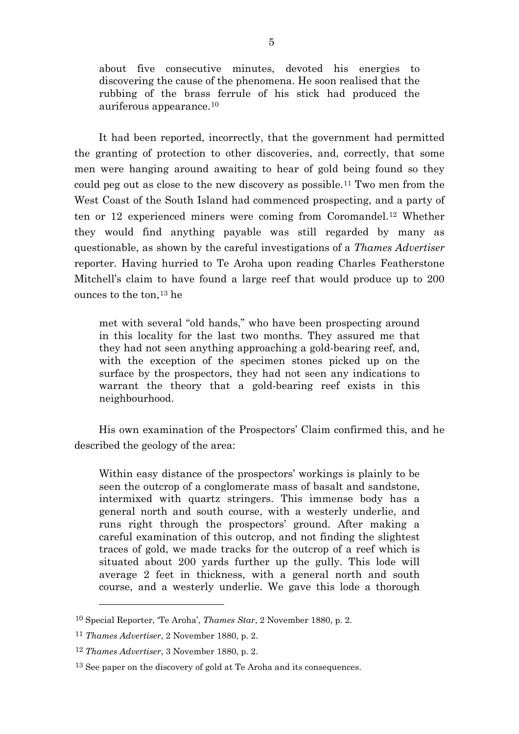about five consecutive minutes, devoted his energies to discovering the cause of the phenomena. He soon realised that the rubbing of the brass ferrule of his stick had produced the auriferous appearance.[10](#page-5-0)

It had been reported, incorrectly, that the government had permitted the granting of protection to other discoveries, and, correctly, that some men were hanging around awaiting to hear of gold being found so they could peg out as close to the new discovery as possible.[11](#page-5-1) Two men from the West Coast of the South Island had commenced prospecting, and a party of ten or 12 experienced miners were coming from Coromandel.[12](#page-5-2) Whether they would find anything payable was still regarded by many as questionable, as shown by the careful investigations of a *Thames Advertiser* reporter. Having hurried to Te Aroha upon reading Charles Featherstone Mitchell's claim to have found a large reef that would produce up to 200 ounces to the ton,[13](#page-5-3) he

met with several "old hands," who have been prospecting around in this locality for the last two months. They assured me that they had not seen anything approaching a gold-bearing reef, and, with the exception of the specimen stones picked up on the surface by the prospectors, they had not seen any indications to warrant the theory that a gold-bearing reef exists in this neighbourhood.

His own examination of the Prospectors' Claim confirmed this, and he described the geology of the area:

Within easy distance of the prospectors' workings is plainly to be seen the outcrop of a conglomerate mass of basalt and sandstone, intermixed with quartz stringers. This immense body has a general north and south course, with a westerly underlie, and runs right through the prospectors' ground. After making a careful examination of this outcrop, and not finding the slightest traces of gold, we made tracks for the outcrop of a reef which is situated about 200 yards further up the gully. This lode will average 2 feet in thickness, with a general north and south course, and a westerly underlie. We gave this lode a thorough

<span id="page-5-0"></span><sup>10</sup> Special Reporter, 'Te Aroha', *Thames Star*, 2 November 1880, p. 2.

<span id="page-5-1"></span><sup>11</sup> *Thames Advertiser*, 2 November 1880, p. 2.

<span id="page-5-2"></span><sup>12</sup> *Thames Advertiser*, 3 November 1880, p. 2.

<span id="page-5-3"></span><sup>&</sup>lt;sup>13</sup> See paper on the discovery of gold at Te Aroha and its consequences.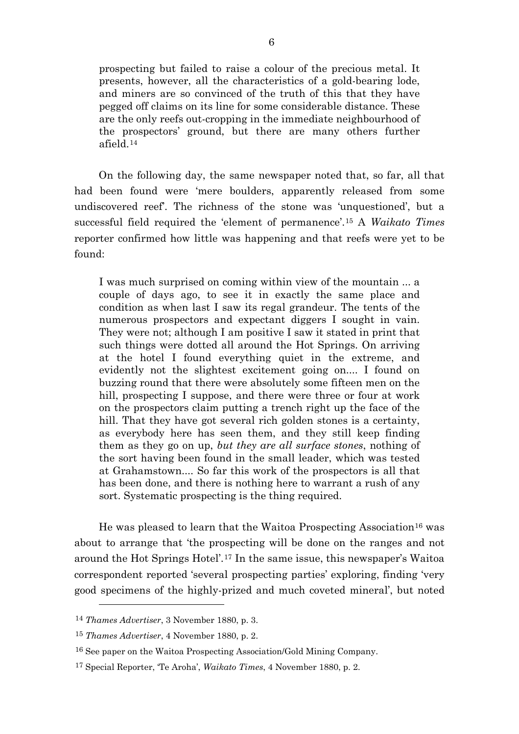prospecting but failed to raise a colour of the precious metal. It presents, however, all the characteristics of a gold-bearing lode, and miners are so convinced of the truth of this that they have pegged off claims on its line for some considerable distance. These are the only reefs out-cropping in the immediate neighbourhood of the prospectors' ground, but there are many others further afield.[14](#page-6-0)

On the following day, the same newspaper noted that, so far, all that had been found were 'mere boulders, apparently released from some undiscovered reef'. The richness of the stone was 'unquestioned', but a successful field required the 'element of permanence'.[15](#page-6-1) A *Waikato Times* reporter confirmed how little was happening and that reefs were yet to be found:

I was much surprised on coming within view of the mountain ... a couple of days ago, to see it in exactly the same place and condition as when last I saw its regal grandeur. The tents of the numerous prospectors and expectant diggers I sought in vain. They were not; although I am positive I saw it stated in print that such things were dotted all around the Hot Springs. On arriving at the hotel I found everything quiet in the extreme, and evidently not the slightest excitement going on.... I found on buzzing round that there were absolutely some fifteen men on the hill, prospecting I suppose, and there were three or four at work on the prospectors claim putting a trench right up the face of the hill. That they have got several rich golden stones is a certainty, as everybody here has seen them, and they still keep finding them as they go on up, *but they are all surface stones*, nothing of the sort having been found in the small leader, which was tested at Grahamstown.... So far this work of the prospectors is all that has been done, and there is nothing here to warrant a rush of any sort. Systematic prospecting is the thing required.

He was pleased to learn that the Waitoa Prospecting Association<sup>[16](#page-6-2)</sup> was about to arrange that 'the prospecting will be done on the ranges and not around the Hot Springs Hotel'.[17](#page-6-3) In the same issue, this newspaper's Waitoa correspondent reported 'several prospecting parties' exploring, finding 'very good specimens of the highly-prized and much coveted mineral', but noted

<span id="page-6-0"></span><sup>14</sup> *Thames Advertiser*, 3 November 1880, p. 3.

<span id="page-6-1"></span><sup>15</sup> *Thames Advertiser*, 4 November 1880, p. 2.

<span id="page-6-2"></span><sup>16</sup> See paper on the Waitoa Prospecting Association/Gold Mining Company.

<span id="page-6-3"></span><sup>17</sup> Special Reporter, 'Te Aroha', *Waikato Times*, 4 November 1880, p. 2.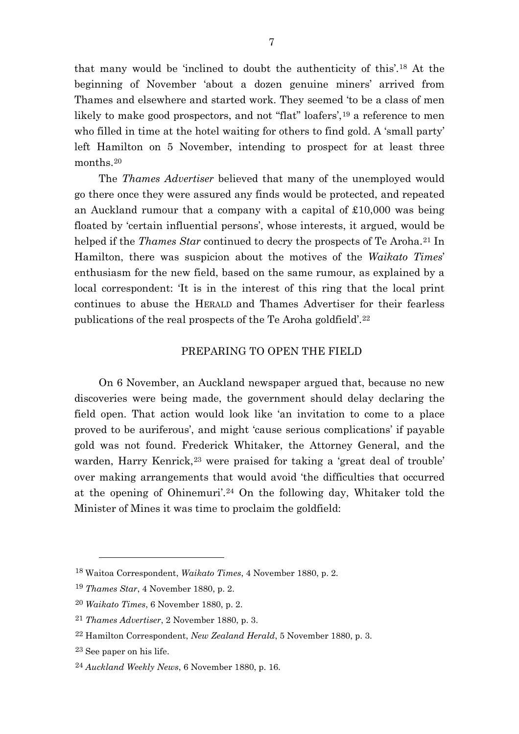that many would be 'inclined to doubt the authenticity of this'.[18](#page-7-0) At the beginning of November 'about a dozen genuine miners' arrived from Thames and elsewhere and started work. They seemed 'to be a class of men likely to make good prospectors, and not "flat" loafers',<sup>[19](#page-7-1)</sup> a reference to men who filled in time at the hotel waiting for others to find gold. A 'small party' left Hamilton on 5 November, intending to prospect for at least three months.[20](#page-7-2)

The *Thames Advertiser* believed that many of the unemployed would go there once they were assured any finds would be protected, and repeated an Auckland rumour that a company with a capital of £10,000 was being floated by 'certain influential persons', whose interests, it argued, would be helped if the *Thames Star* continued to decry the prospects of Te Aroha.<sup>[21](#page-7-3)</sup> In Hamilton, there was suspicion about the motives of the *Waikato Times*' enthusiasm for the new field, based on the same rumour, as explained by a local correspondent: 'It is in the interest of this ring that the local print continues to abuse the HERALD and Thames Advertiser for their fearless publications of the real prospects of the Te Aroha goldfield'.[22](#page-7-4)

### PREPARING TO OPEN THE FIELD

On 6 November, an Auckland newspaper argued that, because no new discoveries were being made, the government should delay declaring the field open. That action would look like 'an invitation to come to a place proved to be auriferous', and might 'cause serious complications' if payable gold was not found. Frederick Whitaker, the Attorney General, and the warden, Harry Kenrick,<sup>[23](#page-7-5)</sup> were praised for taking a 'great deal of trouble' over making arrangements that would avoid 'the difficulties that occurred at the opening of Ohinemuri'.[24](#page-7-6) On the following day, Whitaker told the Minister of Mines it was time to proclaim the goldfield:

<span id="page-7-0"></span><sup>18</sup> Waitoa Correspondent, *Waikato Times*, 4 November 1880, p. 2.

<span id="page-7-1"></span><sup>19</sup> *Thames Star*, 4 November 1880, p. 2.

<span id="page-7-2"></span><sup>20</sup> *Waikato Times*, 6 November 1880, p. 2.

<span id="page-7-3"></span><sup>21</sup> *Thames Advertiser*, 2 November 1880, p. 3.

<span id="page-7-4"></span><sup>22</sup> Hamilton Correspondent, *New Zealand Herald*, 5 November 1880, p. 3.

<span id="page-7-5"></span><sup>23</sup> See paper on his life.

<span id="page-7-6"></span><sup>24</sup> *Auckland Weekly News*, 6 November 1880, p. 16.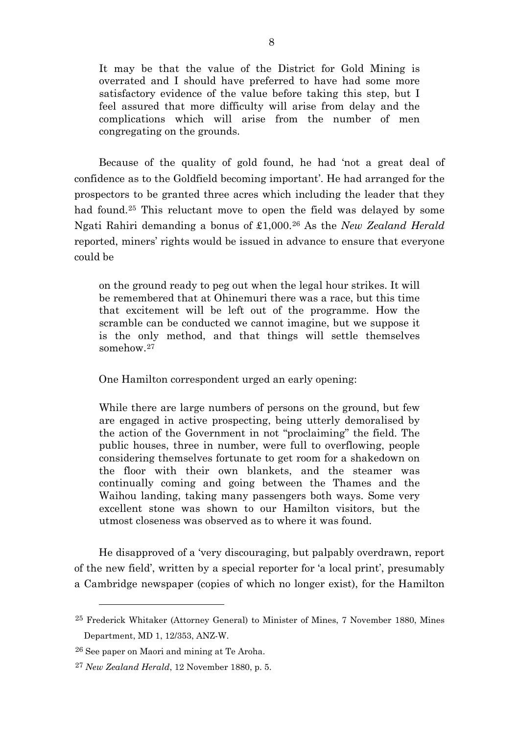It may be that the value of the District for Gold Mining is overrated and I should have preferred to have had some more satisfactory evidence of the value before taking this step, but I feel assured that more difficulty will arise from delay and the complications which will arise from the number of men congregating on the grounds.

Because of the quality of gold found, he had 'not a great deal of confidence as to the Goldfield becoming important'. He had arranged for the prospectors to be granted three acres which including the leader that they had found.<sup>[25](#page-8-0)</sup> This reluctant move to open the field was delayed by some Ngati Rahiri demanding a bonus of £1,000.[26](#page-8-1) As the *New Zealand Herald* reported, miners' rights would be issued in advance to ensure that everyone could be

on the ground ready to peg out when the legal hour strikes. It will be remembered that at Ohinemuri there was a race, but this time that excitement will be left out of the programme. How the scramble can be conducted we cannot imagine, but we suppose it is the only method, and that things will settle themselves somehow.[27](#page-8-2)

One Hamilton correspondent urged an early opening:

While there are large numbers of persons on the ground, but few are engaged in active prospecting, being utterly demoralised by the action of the Government in not "proclaiming" the field. The public houses, three in number, were full to overflowing, people considering themselves fortunate to get room for a shakedown on the floor with their own blankets, and the steamer was continually coming and going between the Thames and the Waihou landing, taking many passengers both ways. Some very excellent stone was shown to our Hamilton visitors, but the utmost closeness was observed as to where it was found.

He disapproved of a 'very discouraging, but palpably overdrawn, report of the new field', written by a special reporter for 'a local print', presumably a Cambridge newspaper (copies of which no longer exist), for the Hamilton

<span id="page-8-0"></span><sup>25</sup> Frederick Whitaker (Attorney General) to Minister of Mines, 7 November 1880, Mines Department, MD 1, 12/353, ANZ-W.

<span id="page-8-1"></span><sup>26</sup> See paper on Maori and mining at Te Aroha.

<span id="page-8-2"></span><sup>27</sup> *New Zealand Herald*, 12 November 1880, p. 5.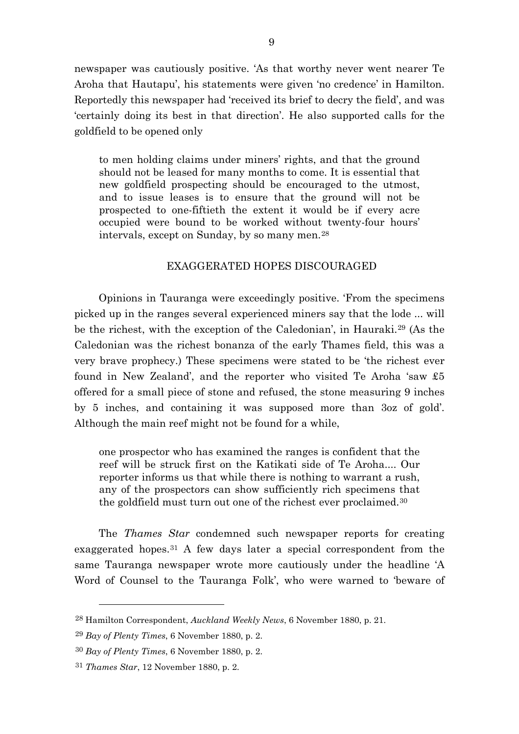newspaper was cautiously positive. 'As that worthy never went nearer Te Aroha that Hautapu', his statements were given 'no credence' in Hamilton. Reportedly this newspaper had 'received its brief to decry the field', and was 'certainly doing its best in that direction'. He also supported calls for the goldfield to be opened only

to men holding claims under miners' rights, and that the ground should not be leased for many months to come. It is essential that new goldfield prospecting should be encouraged to the utmost, and to issue leases is to ensure that the ground will not be prospected to one-fiftieth the extent it would be if every acre occupied were bound to be worked without twenty-four hours' intervals, except on Sunday, by so many men.[28](#page-9-0)

### EXAGGERATED HOPES DISCOURAGED

Opinions in Tauranga were exceedingly positive. 'From the specimens picked up in the ranges several experienced miners say that the lode ... will be the richest, with the exception of the Caledonian', in Hauraki.[29](#page-9-1) (As the Caledonian was the richest bonanza of the early Thames field, this was a very brave prophecy.) These specimens were stated to be 'the richest ever found in New Zealand', and the reporter who visited Te Aroha 'saw £5 offered for a small piece of stone and refused, the stone measuring 9 inches by 5 inches, and containing it was supposed more than 3oz of gold'. Although the main reef might not be found for a while,

one prospector who has examined the ranges is confident that the reef will be struck first on the Katikati side of Te Aroha.... Our reporter informs us that while there is nothing to warrant a rush, any of the prospectors can show sufficiently rich specimens that the goldfield must turn out one of the richest ever proclaimed.[30](#page-9-2)

The *Thames Star* condemned such newspaper reports for creating exaggerated hopes.[31](#page-9-3) A few days later a special correspondent from the same Tauranga newspaper wrote more cautiously under the headline 'A Word of Counsel to the Tauranga Folk', who were warned to 'beware of

<span id="page-9-0"></span><sup>28</sup> Hamilton Correspondent, *Auckland Weekly News*, 6 November 1880, p. 21.

<span id="page-9-1"></span><sup>29</sup> *Bay of Plenty Times*, 6 November 1880, p. 2.

<span id="page-9-2"></span><sup>30</sup> *Bay of Plenty Times*, 6 November 1880, p. 2.

<span id="page-9-3"></span><sup>31</sup> *Thames Star*, 12 November 1880, p. 2.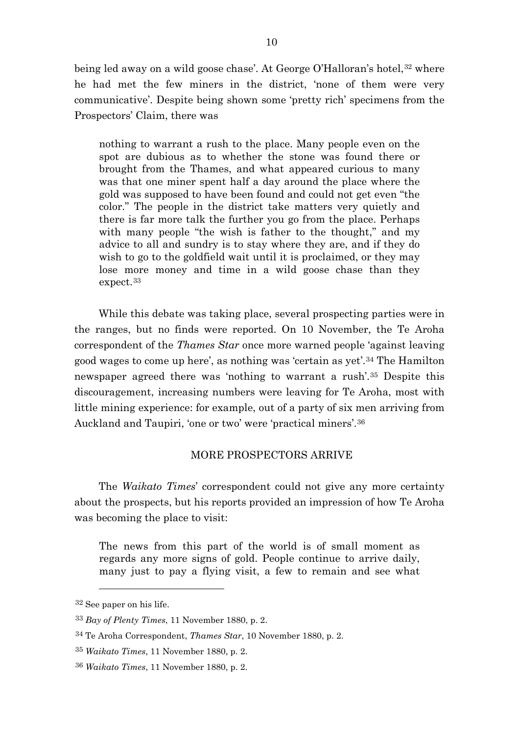being led away on a wild goose chase'. At George O'Halloran's hotel,<sup>[32](#page-10-0)</sup> where he had met the few miners in the district, 'none of them were very communicative'. Despite being shown some 'pretty rich' specimens from the Prospectors' Claim, there was

nothing to warrant a rush to the place. Many people even on the spot are dubious as to whether the stone was found there or brought from the Thames, and what appeared curious to many was that one miner spent half a day around the place where the gold was supposed to have been found and could not get even "the color." The people in the district take matters very quietly and there is far more talk the further you go from the place. Perhaps with many people "the wish is father to the thought," and my advice to all and sundry is to stay where they are, and if they do wish to go to the goldfield wait until it is proclaimed, or they may lose more money and time in a wild goose chase than they expect.[33](#page-10-1)

While this debate was taking place, several prospecting parties were in the ranges, but no finds were reported. On 10 November, the Te Aroha correspondent of the *Thames Star* once more warned people 'against leaving good wages to come up here', as nothing was 'certain as yet'.[34](#page-10-2) The Hamilton newspaper agreed there was 'nothing to warrant a rush'.[35](#page-10-3) Despite this discouragement, increasing numbers were leaving for Te Aroha, most with little mining experience: for example, out of a party of six men arriving from Auckland and Taupiri, 'one or two' were 'practical miners'.[36](#page-10-4)

### MORE PROSPECTORS ARRIVE

The *Waikato Times*' correspondent could not give any more certainty about the prospects, but his reports provided an impression of how Te Aroha was becoming the place to visit:

The news from this part of the world is of small moment as regards any more signs of gold. People continue to arrive daily, many just to pay a flying visit, a few to remain and see what

<span id="page-10-0"></span><sup>32</sup> See paper on his life.

<span id="page-10-1"></span><sup>33</sup> *Bay of Plenty Times*, 11 November 1880, p. 2.

<span id="page-10-2"></span><sup>34</sup> Te Aroha Correspondent, *Thames Star*, 10 November 1880, p. 2.

<span id="page-10-3"></span><sup>35</sup> *Waikato Times*, 11 November 1880, p. 2.

<span id="page-10-4"></span><sup>36</sup> *Waikato Times*, 11 November 1880, p. 2.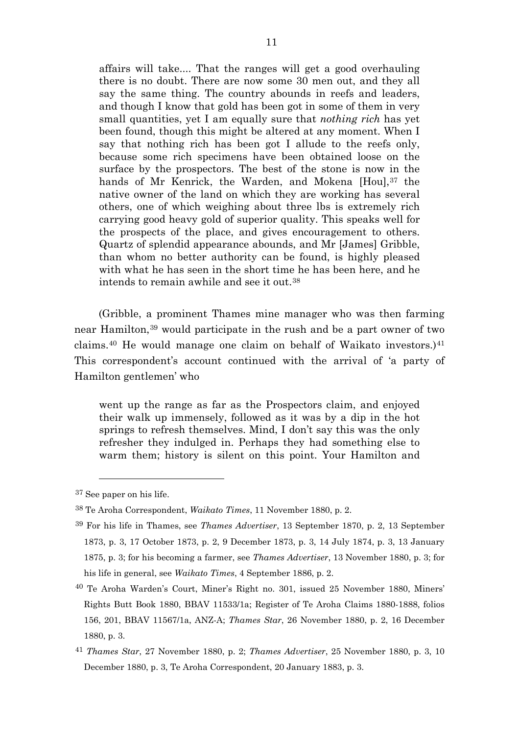affairs will take.... That the ranges will get a good overhauling there is no doubt. There are now some 30 men out, and they all say the same thing. The country abounds in reefs and leaders, and though I know that gold has been got in some of them in very small quantities, yet I am equally sure that *nothing rich* has yet been found, though this might be altered at any moment. When I say that nothing rich has been got I allude to the reefs only, because some rich specimens have been obtained loose on the surface by the prospectors. The best of the stone is now in the hands of Mr Kenrick, the Warden, and Mokena [Hou],<sup>[37](#page-11-0)</sup> the native owner of the land on which they are working has several others, one of which weighing about three lbs is extremely rich carrying good heavy gold of superior quality. This speaks well for the prospects of the place, and gives encouragement to others. Quartz of splendid appearance abounds, and Mr [James] Gribble, than whom no better authority can be found, is highly pleased with what he has seen in the short time he has been here, and he intends to remain awhile and see it out.[38](#page-11-1)

(Gribble, a prominent Thames mine manager who was then farming near Hamilton,[39](#page-11-2) would participate in the rush and be a part owner of two claims.<sup>[40](#page-11-3)</sup> He would manage one claim on behalf of Waikato investors.)<sup>[41](#page-11-4)</sup> This correspondent's account continued with the arrival of 'a party of Hamilton gentlemen' who

went up the range as far as the Prospectors claim, and enjoyed their walk up immensely, followed as it was by a dip in the hot springs to refresh themselves. Mind, I don't say this was the only refresher they indulged in. Perhaps they had something else to warm them; history is silent on this point. Your Hamilton and

 $\overline{a}$ 

<span id="page-11-3"></span>40 Te Aroha Warden's Court, Miner's Right no. 301, issued 25 November 1880, Miners' Rights Butt Book 1880, BBAV 11533/1a; Register of Te Aroha Claims 1880-1888, folios 156, 201, BBAV 11567/1a, ANZ-A; *Thames Star*, 26 November 1880, p. 2, 16 December 1880, p. 3.

<span id="page-11-0"></span><sup>37</sup> See paper on his life.

<span id="page-11-1"></span><sup>38</sup> Te Aroha Correspondent, *Waikato Times*, 11 November 1880, p. 2.

<span id="page-11-2"></span><sup>39</sup> For his life in Thames, see *Thames Advertiser*, 13 September 1870, p. 2, 13 September 1873, p. 3, 17 October 1873, p. 2, 9 December 1873, p. 3, 14 July 1874, p. 3, 13 January 1875, p. 3; for his becoming a farmer, see *Thames Advertiser*, 13 November 1880, p. 3; for his life in general, see *Waikato Times*, 4 September 1886, p. 2.

<span id="page-11-4"></span><sup>41</sup> *Thames Star*, 27 November 1880, p. 2; *Thames Advertiser*, 25 November 1880, p. 3, 10 December 1880, p. 3, Te Aroha Correspondent, 20 January 1883, p. 3.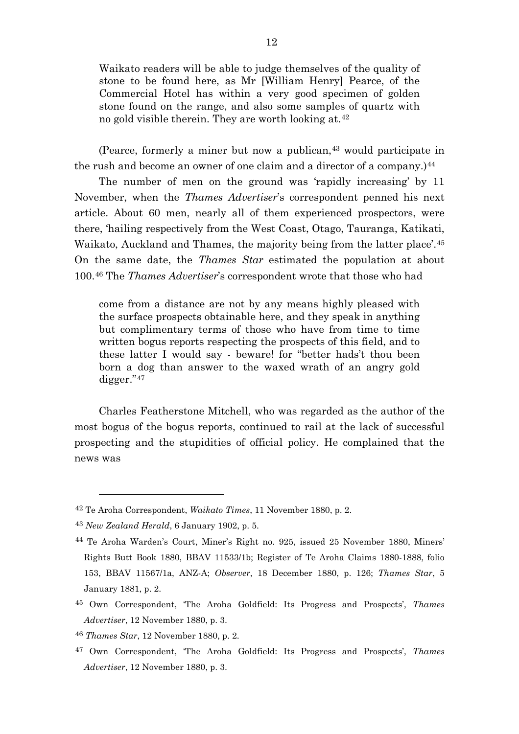Waikato readers will be able to judge themselves of the quality of stone to be found here, as Mr [William Henry] Pearce, of the Commercial Hotel has within a very good specimen of golden stone found on the range, and also some samples of quartz with no gold visible therein. They are worth looking at.[42](#page-12-0)

(Pearce, formerly a miner but now a publican,[43](#page-12-1) would participate in the rush and become an owner of one claim and a director of a company.) $^{44}$  $^{44}$  $^{44}$ 

The number of men on the ground was 'rapidly increasing' by 11 November, when the *Thames Advertiser*'s correspondent penned his next article. About 60 men, nearly all of them experienced prospectors, were there, 'hailing respectively from the West Coast, Otago, Tauranga, Katikati, Waikato, Auckland and Thames, the majority being from the latter place'.[45](#page-12-3) On the same date, the *Thames Star* estimated the population at about 100.[46](#page-12-4) The *Thames Advertiser*'s correspondent wrote that those who had

come from a distance are not by any means highly pleased with the surface prospects obtainable here, and they speak in anything but complimentary terms of those who have from time to time written bogus reports respecting the prospects of this field, and to these latter I would say - beware! for "better hads't thou been born a dog than answer to the waxed wrath of an angry gold digger."[47](#page-12-5)

Charles Featherstone Mitchell, who was regarded as the author of the most bogus of the bogus reports, continued to rail at the lack of successful prospecting and the stupidities of official policy. He complained that the news was

<span id="page-12-0"></span><sup>42</sup> Te Aroha Correspondent, *Waikato Times*, 11 November 1880, p. 2.

<span id="page-12-1"></span><sup>43</sup> *New Zealand Herald*, 6 January 1902, p. 5.

<span id="page-12-2"></span><sup>44</sup> Te Aroha Warden's Court, Miner's Right no. 925, issued 25 November 1880, Miners' Rights Butt Book 1880, BBAV 11533/1b; Register of Te Aroha Claims 1880-1888, folio 153, BBAV 11567/1a, ANZ-A; *Observer*, 18 December 1880, p. 126; *Thames Star*, 5 January 1881, p. 2.

<span id="page-12-3"></span><sup>45</sup> Own Correspondent, 'The Aroha Goldfield: Its Progress and Prospects', *Thames Advertiser*, 12 November 1880, p. 3.

<span id="page-12-4"></span><sup>46</sup> *Thames Star*, 12 November 1880, p. 2.

<span id="page-12-5"></span><sup>47</sup> Own Correspondent, 'The Aroha Goldfield: Its Progress and Prospects', *Thames Advertiser*, 12 November 1880, p. 3.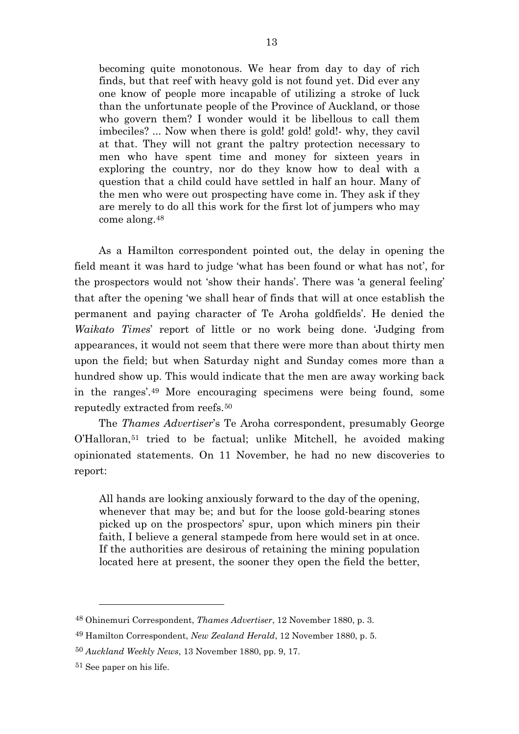becoming quite monotonous. We hear from day to day of rich finds, but that reef with heavy gold is not found yet. Did ever any one know of people more incapable of utilizing a stroke of luck than the unfortunate people of the Province of Auckland, or those who govern them? I wonder would it be libellous to call them imbeciles? ... Now when there is gold! gold! gold!- why, they cavil at that. They will not grant the paltry protection necessary to men who have spent time and money for sixteen years in exploring the country, nor do they know how to deal with a question that a child could have settled in half an hour. Many of the men who were out prospecting have come in. They ask if they are merely to do all this work for the first lot of jumpers who may come along.[48](#page-13-0)

As a Hamilton correspondent pointed out, the delay in opening the field meant it was hard to judge 'what has been found or what has not', for the prospectors would not 'show their hands'. There was 'a general feeling' that after the opening 'we shall hear of finds that will at once establish the permanent and paying character of Te Aroha goldfields'. He denied the *Waikato Times*' report of little or no work being done. 'Judging from appearances, it would not seem that there were more than about thirty men upon the field; but when Saturday night and Sunday comes more than a hundred show up. This would indicate that the men are away working back in the ranges'.[49](#page-13-1) More encouraging specimens were being found, some reputedly extracted from reefs.[50](#page-13-2)

The *Thames Advertiser*'s Te Aroha correspondent, presumably George O'Halloran,[51](#page-13-3) tried to be factual; unlike Mitchell, he avoided making opinionated statements. On 11 November, he had no new discoveries to report:

All hands are looking anxiously forward to the day of the opening, whenever that may be; and but for the loose gold-bearing stones picked up on the prospectors' spur, upon which miners pin their faith, I believe a general stampede from here would set in at once. If the authorities are desirous of retaining the mining population located here at present, the sooner they open the field the better,

<span id="page-13-0"></span><sup>48</sup> Ohinemuri Correspondent, *Thames Advertiser*, 12 November 1880, p. 3.

<span id="page-13-1"></span><sup>49</sup> Hamilton Correspondent, *New Zealand Herald*, 12 November 1880, p. 5.

<span id="page-13-2"></span><sup>50</sup> *Auckland Weekly News*, 13 November 1880, pp. 9, 17.

<span id="page-13-3"></span><sup>51</sup> See paper on his life.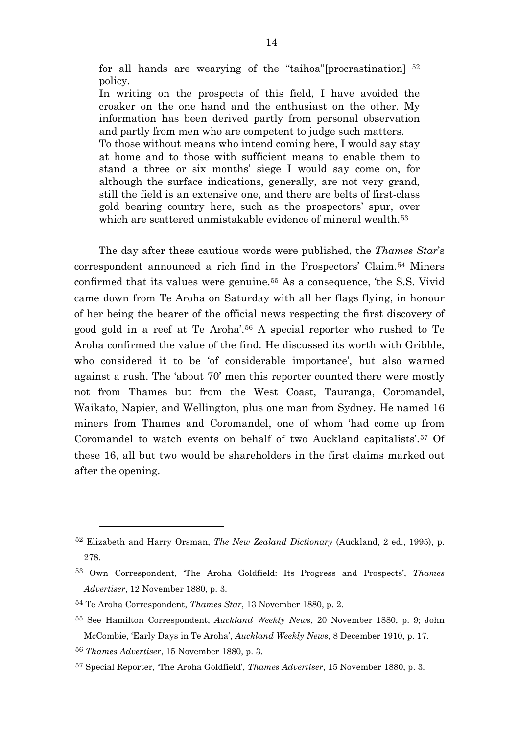for all hands are wearying of the "taihoa"[procrastination] [52](#page-14-0) policy.

In writing on the prospects of this field, I have avoided the croaker on the one hand and the enthusiast on the other. My information has been derived partly from personal observation and partly from men who are competent to judge such matters. To those without means who intend coming here, I would say stay at home and to those with sufficient means to enable them to stand a three or six months' siege I would say come on, for although the surface indications, generally, are not very grand, still the field is an extensive one, and there are belts of first-class gold bearing country here, such as the prospectors' spur, over which are scattered unmistakable evidence of mineral wealth.<sup>[53](#page-14-1)</sup>

The day after these cautious words were published, the *Thames Star*'s correspondent announced a rich find in the Prospectors' Claim.[54](#page-14-2) Miners confirmed that its values were genuine.[55](#page-14-3) As a consequence, 'the S.S. Vivid came down from Te Aroha on Saturday with all her flags flying, in honour of her being the bearer of the official news respecting the first discovery of good gold in a reef at Te Aroha'.[56](#page-14-4) A special reporter who rushed to Te Aroha confirmed the value of the find. He discussed its worth with Gribble, who considered it to be 'of considerable importance', but also warned against a rush. The 'about 70' men this reporter counted there were mostly not from Thames but from the West Coast, Tauranga, Coromandel, Waikato, Napier, and Wellington, plus one man from Sydney. He named 16 miners from Thames and Coromandel, one of whom 'had come up from Coromandel to watch events on behalf of two Auckland capitalists'.[57](#page-14-5) Of these 16, all but two would be shareholders in the first claims marked out after the opening.

<span id="page-14-1"></span><span id="page-14-0"></span><sup>52</sup> Elizabeth and Harry Orsman, *The New Zealand Dictionary* (Auckland, 2 ed., 1995), p. 278.

<span id="page-14-2"></span><sup>53</sup> Own Correspondent, 'The Aroha Goldfield: Its Progress and Prospects', *Thames Advertiser*, 12 November 1880, p. 3.

<span id="page-14-3"></span><sup>54</sup> Te Aroha Correspondent, *Thames Star*, 13 November 1880, p. 2.

<span id="page-14-4"></span><sup>55</sup> See Hamilton Correspondent, *Auckland Weekly News*, 20 November 1880, p. 9; John McCombie, 'Early Days in Te Aroha', *Auckland Weekly News*, 8 December 1910, p. 17.

<span id="page-14-5"></span><sup>56</sup> *Thames Advertiser*, 15 November 1880, p. 3.

<span id="page-14-6"></span><sup>57</sup> Special Reporter, 'The Aroha Goldfield', *Thames Advertiser*, 15 November 1880, p. 3.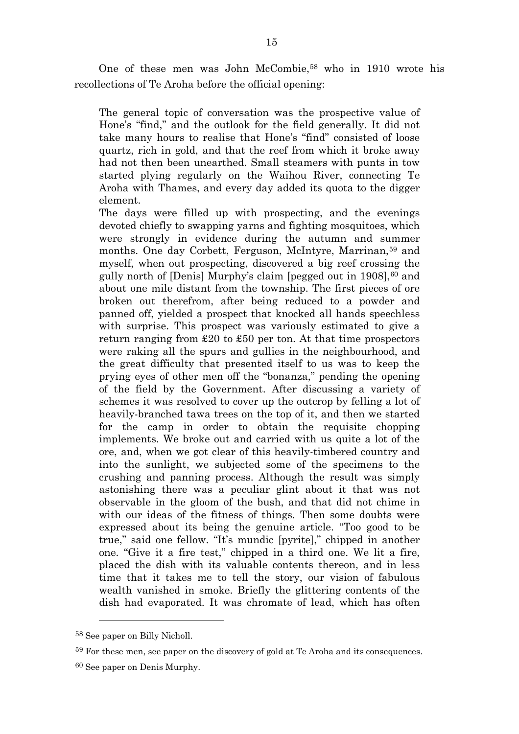One of these men was John McCombie,[58](#page-14-6) who in 1910 wrote his recollections of Te Aroha before the official opening:

The general topic of conversation was the prospective value of Hone's "find," and the outlook for the field generally. It did not take many hours to realise that Hone's "find" consisted of loose quartz, rich in gold, and that the reef from which it broke away had not then been unearthed. Small steamers with punts in tow started plying regularly on the Waihou River, connecting Te Aroha with Thames, and every day added its quota to the digger element.

The days were filled up with prospecting, and the evenings devoted chiefly to swapping yarns and fighting mosquitoes, which were strongly in evidence during the autumn and summer months. One day Corbett, Ferguson, McIntyre, Marrinan,<sup>[59](#page-15-0)</sup> and myself, when out prospecting, discovered a big reef crossing the gully north of [Denis] Murphy's claim [pegged out in 1908],[60](#page-15-1) and about one mile distant from the township. The first pieces of ore broken out therefrom, after being reduced to a powder and panned off, yielded a prospect that knocked all hands speechless with surprise. This prospect was variously estimated to give a return ranging from £20 to £50 per ton. At that time prospectors were raking all the spurs and gullies in the neighbourhood, and the great difficulty that presented itself to us was to keep the prying eyes of other men off the "bonanza," pending the opening of the field by the Government. After discussing a variety of schemes it was resolved to cover up the outcrop by felling a lot of heavily-branched tawa trees on the top of it, and then we started for the camp in order to obtain the requisite chopping implements. We broke out and carried with us quite a lot of the ore, and, when we got clear of this heavily-timbered country and into the sunlight, we subjected some of the specimens to the crushing and panning process. Although the result was simply astonishing there was a peculiar glint about it that was not observable in the gloom of the bush, and that did not chime in with our ideas of the fitness of things. Then some doubts were expressed about its being the genuine article. "Too good to be true," said one fellow. "It's mundic [pyrite]," chipped in another one. "Give it a fire test," chipped in a third one. We lit a fire, placed the dish with its valuable contents thereon, and in less time that it takes me to tell the story, our vision of fabulous wealth vanished in smoke. Briefly the glittering contents of the dish had evaporated. It was chromate of lead, which has often

<sup>58</sup> See paper on Billy Nicholl.

<span id="page-15-0"></span><sup>59</sup> For these men, see paper on the discovery of gold at Te Aroha and its consequences.

<span id="page-15-1"></span><sup>60</sup> See paper on Denis Murphy.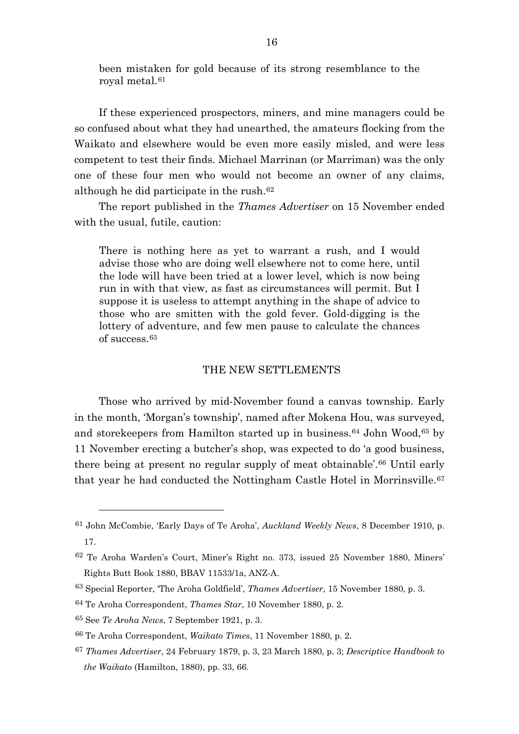been mistaken for gold because of its strong resemblance to the royal metal.[61](#page-16-0)

If these experienced prospectors, miners, and mine managers could be so confused about what they had unearthed, the amateurs flocking from the Waikato and elsewhere would be even more easily misled, and were less competent to test their finds. Michael Marrinan (or Marriman) was the only one of these four men who would not become an owner of any claims, although he did participate in the rush.[62](#page-16-1)

The report published in the *Thames Advertiser* on 15 November ended with the usual, futile, caution:

There is nothing here as yet to warrant a rush, and I would advise those who are doing well elsewhere not to come here, until the lode will have been tried at a lower level, which is now being run in with that view, as fast as circumstances will permit. But I suppose it is useless to attempt anything in the shape of advice to those who are smitten with the gold fever. Gold-digging is the lottery of adventure, and few men pause to calculate the chances of success.[63](#page-16-2)

#### THE NEW SETTLEMENTS

Those who arrived by mid-November found a canvas township. Early in the month, 'Morgan's township', named after Mokena Hou, was surveyed, and storekeepers from Hamilton started up in business.[64](#page-16-3) John Wood,[65](#page-16-4) by 11 November erecting a butcher's shop, was expected to do 'a good business, there being at present no regular supply of meat obtainable'.[66](#page-16-5) Until early that year he had conducted the Nottingham Castle Hotel in Morrinsville.<sup>[67](#page-16-6)</sup>

<span id="page-16-0"></span><sup>61</sup> John McCombie, 'Early Days of Te Aroha', *Auckland Weekly News*, 8 December 1910, p. 17.

<span id="page-16-1"></span><sup>62</sup> Te Aroha Warden's Court, Miner's Right no. 373, issued 25 November 1880, Miners' Rights Butt Book 1880, BBAV 11533/1a, ANZ-A.

<span id="page-16-2"></span><sup>63</sup> Special Reporter, 'The Aroha Goldfield', *Thames Advertiser*, 15 November 1880, p. 3.

<span id="page-16-3"></span><sup>64</sup> Te Aroha Correspondent, *Thames Star*, 10 November 1880, p. 2.

<span id="page-16-4"></span><sup>65</sup> See *Te Aroha News*, 7 September 1921, p. 3.

<span id="page-16-5"></span><sup>66</sup> Te Aroha Correspondent, *Waikato Times*, 11 November 1880, p. 2.

<span id="page-16-6"></span><sup>67</sup> *Thames Advertiser*, 24 February 1879, p. 3, 23 March 1880, p. 3; *Descriptive Handbook to the Waikato* (Hamilton, 1880), pp. 33, 66.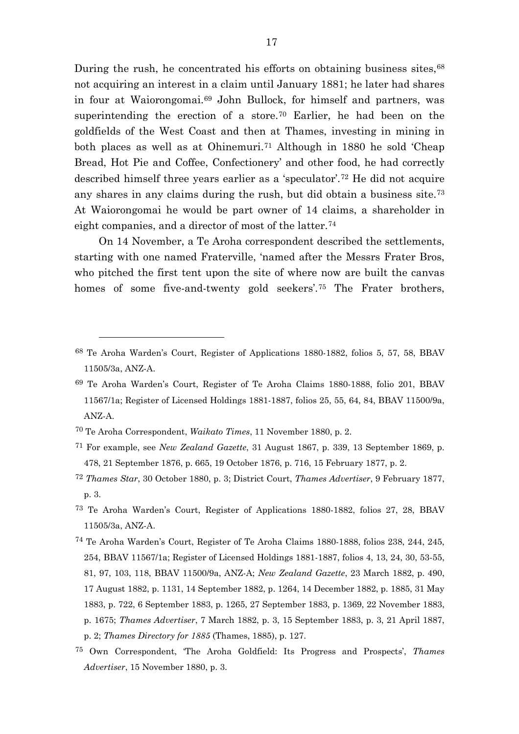During the rush, he concentrated his efforts on obtaining business sites,  $68$ not acquiring an interest in a claim until January 1881; he later had shares in four at Waiorongomai.[69](#page-17-1) John Bullock, for himself and partners, was superintending the erection of a store.<sup>[70](#page-17-2)</sup> Earlier, he had been on the goldfields of the West Coast and then at Thames, investing in mining in both places as well as at Ohinemuri.[71](#page-17-3) Although in 1880 he sold 'Cheap Bread, Hot Pie and Coffee, Confectionery' and other food, he had correctly described himself three years earlier as a 'speculator'.[72](#page-17-4) He did not acquire any shares in any claims during the rush, but did obtain a business site.[73](#page-17-5) At Waiorongomai he would be part owner of 14 claims, a shareholder in eight companies, and a director of most of the latter.[74](#page-17-6)

On 14 November, a Te Aroha correspondent described the settlements, starting with one named Fraterville, 'named after the Messrs Frater Bros, who pitched the first tent upon the site of where now are built the canvas homes of some five-and-twenty gold seekers'.<sup>[75](#page-17-7)</sup> The Frater brothers,

- <span id="page-17-4"></span><sup>72</sup> *Thames Star*, 30 October 1880, p. 3; District Court, *Thames Advertiser*, 9 February 1877, p. 3.
- <span id="page-17-5"></span>73 Te Aroha Warden's Court, Register of Applications 1880-1882, folios 27, 28, BBAV 11505/3a, ANZ-A.

<span id="page-17-0"></span><sup>68</sup> Te Aroha Warden's Court, Register of Applications 1880-1882, folios 5, 57, 58, BBAV 11505/3a, ANZ-A.

<span id="page-17-1"></span><sup>69</sup> Te Aroha Warden's Court, Register of Te Aroha Claims 1880-1888, folio 201, BBAV 11567/1a; Register of Licensed Holdings 1881-1887, folios 25, 55, 64, 84, BBAV 11500/9a, ANZ-A.

<span id="page-17-2"></span><sup>70</sup> Te Aroha Correspondent, *Waikato Times*, 11 November 1880, p. 2.

<span id="page-17-3"></span><sup>71</sup> For example, see *New Zealand Gazette*, 31 August 1867, p. 339, 13 September 1869, p. 478, 21 September 1876, p. 665, 19 October 1876, p. 716, 15 February 1877, p. 2.

<span id="page-17-6"></span><sup>74</sup> Te Aroha Warden's Court, Register of Te Aroha Claims 1880-1888, folios 238, 244, 245, 254, BBAV 11567/1a; Register of Licensed Holdings 1881-1887, folios 4, 13, 24, 30, 53-55, 81, 97, 103, 118, BBAV 11500/9a, ANZ-A; *New Zealand Gazette*, 23 March 1882, p. 490, 17 August 1882, p. 1131, 14 September 1882, p. 1264, 14 December 1882, p. 1885, 31 May 1883, p. 722, 6 September 1883, p. 1265, 27 September 1883, p. 1369, 22 November 1883, p. 1675; *Thames Advertiser*, 7 March 1882, p. 3, 15 September 1883, p. 3, 21 April 1887, p. 2; *Thames Directory for 1885* (Thames, 1885), p. 127.

<span id="page-17-7"></span><sup>75</sup> Own Correspondent, 'The Aroha Goldfield: Its Progress and Prospects', *Thames Advertiser*, 15 November 1880, p. 3.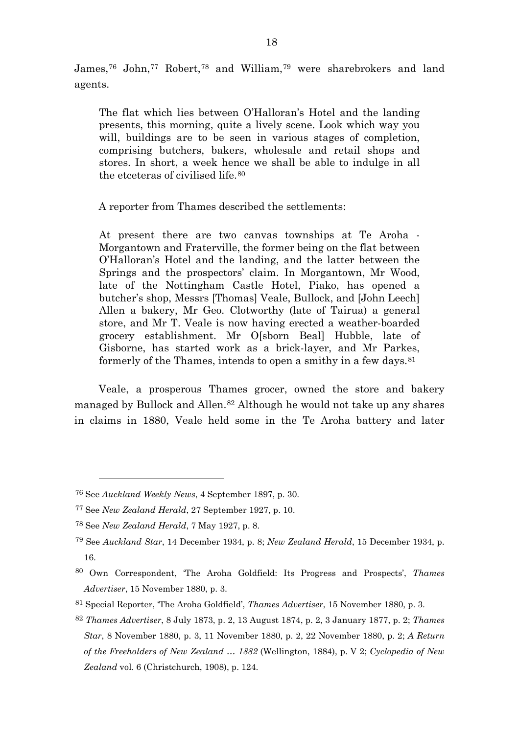James,[76](#page-18-0) John,[77](#page-18-1) Robert,[78](#page-18-2) and William,[79](#page-18-3) were sharebrokers and land agents.

The flat which lies between O'Halloran's Hotel and the landing presents, this morning, quite a lively scene. Look which way you will, buildings are to be seen in various stages of completion, comprising butchers, bakers, wholesale and retail shops and stores. In short, a week hence we shall be able to indulge in all the etceteras of civilised life.[80](#page-18-4)

A reporter from Thames described the settlements:

At present there are two canvas townships at Te Aroha - Morgantown and Fraterville, the former being on the flat between O'Halloran's Hotel and the landing, and the latter between the Springs and the prospectors' claim. In Morgantown, Mr Wood, late of the Nottingham Castle Hotel, Piako, has opened a butcher's shop, Messrs [Thomas] Veale, Bullock, and [John Leech] Allen a bakery, Mr Geo. Clotworthy (late of Tairua) a general store, and Mr T. Veale is now having erected a weather-boarded grocery establishment. Mr O[sborn Beal] Hubble, late of Gisborne, has started work as a brick-layer, and Mr Parkes, formerly of the Thames, intends to open a smithy in a few days.<sup>[81](#page-18-5)</sup>

Veale, a prosperous Thames grocer, owned the store and bakery managed by Bullock and Allen.[82](#page-18-6) Although he would not take up any shares in claims in 1880, Veale held some in the Te Aroha battery and later

<span id="page-18-0"></span><sup>76</sup> See *Auckland Weekly News*, 4 September 1897, p. 30.

<span id="page-18-1"></span><sup>77</sup> See *New Zealand Herald*, 27 September 1927, p. 10.

<span id="page-18-2"></span><sup>78</sup> See *New Zealand Herald*, 7 May 1927, p. 8.

<span id="page-18-3"></span><sup>79</sup> See *Auckland Star*, 14 December 1934, p. 8; *New Zealand Herald*, 15 December 1934, p. 16.

<span id="page-18-4"></span><sup>80</sup> Own Correspondent, 'The Aroha Goldfield: Its Progress and Prospects', *Thames Advertiser*, 15 November 1880, p. 3.

<span id="page-18-5"></span><sup>81</sup> Special Reporter, 'The Aroha Goldfield', *Thames Advertiser*, 15 November 1880, p. 3.

<span id="page-18-6"></span><sup>82</sup> *Thames Advertiser*, 8 July 1873, p. 2, 13 August 1874, p. 2, 3 January 1877, p. 2; *Thames Star*, 8 November 1880, p. 3, 11 November 1880, p. 2, 22 November 1880, p. 2; *A Return of the Freeholders of New Zealand … 1882* (Wellington, 1884), p. V 2; *Cyclopedia of New Zealand* vol. 6 (Christchurch, 1908), p. 124.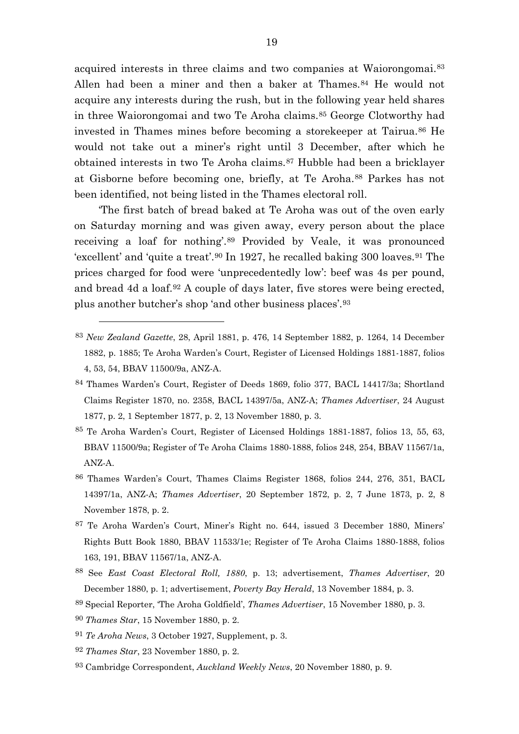acquired interests in three claims and two companies at Waiorongomai.[83](#page-19-0) Allen had been a miner and then a baker at Thames.<sup>[84](#page-19-1)</sup> He would not acquire any interests during the rush, but in the following year held shares in three Waiorongomai and two Te Aroha claims.[85](#page-19-2) George Clotworthy had invested in Thames mines before becoming a storekeeper at Tairua.<sup>[86](#page-19-3)</sup> He would not take out a miner's right until 3 December, after which he obtained interests in two Te Aroha claims.[87](#page-19-4) Hubble had been a bricklayer at Gisborne before becoming one, briefly, at Te Aroha.[88](#page-19-5) Parkes has not been identified, not being listed in the Thames electoral roll.

'The first batch of bread baked at Te Aroha was out of the oven early on Saturday morning and was given away, every person about the place receiving a loaf for nothing'.[89](#page-19-6) Provided by Veale, it was pronounced 'excellent' and 'quite a treat'.[90](#page-19-7) In 1927, he recalled baking 300 loaves.[91](#page-19-8) The prices charged for food were 'unprecedentedly low': beef was 4s per pound, and bread 4d a loaf.[92](#page-19-9) A couple of days later, five stores were being erected, plus another butcher's shop 'and other business places'.[93](#page-19-10)

- <span id="page-19-0"></span><sup>83</sup> *New Zealand Gazette*, 28, April 1881, p. 476, 14 September 1882, p. 1264, 14 December 1882, p. 1885; Te Aroha Warden's Court, Register of Licensed Holdings 1881-1887, folios 4, 53, 54, BBAV 11500/9a, ANZ-A.
- <span id="page-19-1"></span>84 Thames Warden's Court, Register of Deeds 1869, folio 377, BACL 14417/3a; Shortland Claims Register 1870, no. 2358, BACL 14397/5a, ANZ-A; *Thames Advertiser*, 24 August 1877, p. 2, 1 September 1877, p. 2, 13 November 1880, p. 3.
- <span id="page-19-2"></span>85 Te Aroha Warden's Court, Register of Licensed Holdings 1881-1887, folios 13, 55, 63, BBAV 11500/9a; Register of Te Aroha Claims 1880-1888, folios 248, 254, BBAV 11567/1a, ANZ-A.
- <span id="page-19-3"></span>86 Thames Warden's Court, Thames Claims Register 1868, folios 244, 276, 351, BACL 14397/1a, ANZ-A; *Thames Advertiser*, 20 September 1872, p. 2, 7 June 1873, p. 2, 8 November 1878, p. 2.
- <span id="page-19-4"></span>87 Te Aroha Warden's Court, Miner's Right no. 644, issued 3 December 1880, Miners' Rights Butt Book 1880, BBAV 11533/1e; Register of Te Aroha Claims 1880-1888, folios 163, 191, BBAV 11567/1a, ANZ-A.
- <span id="page-19-5"></span><sup>88</sup> See *East Coast Electoral Roll, 1880*, p. 13; advertisement, *Thames Advertiser*, 20 December 1880, p. 1; advertisement, *Poverty Bay Herald*, 13 November 1884, p. 3.
- <span id="page-19-6"></span><sup>89</sup> Special Reporter, 'The Aroha Goldfield', *Thames Advertiser*, 15 November 1880, p. 3.
- <span id="page-19-7"></span><sup>90</sup> *Thames Star*, 15 November 1880, p. 2.

- <span id="page-19-8"></span><sup>91</sup> *Te Aroha News*, 3 October 1927, Supplement, p. 3.
- <span id="page-19-9"></span><sup>92</sup> *Thames Star*, 23 November 1880, p. 2.
- <span id="page-19-10"></span><sup>93</sup> Cambridge Correspondent, *Auckland Weekly News*, 20 November 1880, p. 9.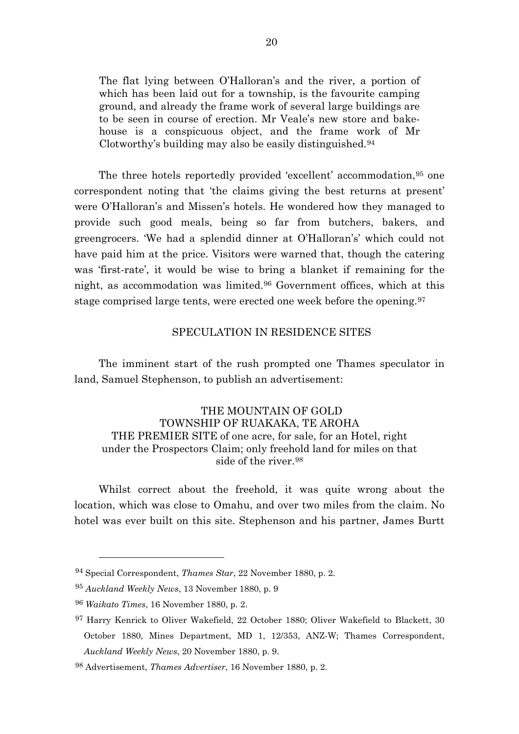The flat lying between O'Halloran's and the river, a portion of which has been laid out for a township, is the favourite camping ground, and already the frame work of several large buildings are to be seen in course of erection. Mr Veale's new store and bakehouse is a conspicuous object, and the frame work of Mr Clotworthy's building may also be easily distinguished.[94](#page-20-0)

The three hotels reportedly provided 'excellent' accommodation,[95](#page-20-1) one correspondent noting that 'the claims giving the best returns at present' were O'Halloran's and Missen's hotels. He wondered how they managed to provide such good meals, being so far from butchers, bakers, and greengrocers. 'We had a splendid dinner at O'Halloran's' which could not have paid him at the price. Visitors were warned that, though the catering was 'first-rate', it would be wise to bring a blanket if remaining for the night, as accommodation was limited.[96](#page-20-2) Government offices, which at this stage comprised large tents, were erected one week before the opening.[97](#page-20-3)

### SPECULATION IN RESIDENCE SITES

The imminent start of the rush prompted one Thames speculator in land, Samuel Stephenson, to publish an advertisement:

# THE MOUNTAIN OF GOLD TOWNSHIP OF RUAKAKA, TE AROHA THE PREMIER SITE of one acre, for sale, for an Hotel, right under the Prospectors Claim; only freehold land for miles on that side of the river.<sup>[98](#page-20-4)</sup>

Whilst correct about the freehold, it was quite wrong about the location, which was close to Omahu, and over two miles from the claim. No hotel was ever built on this site. Stephenson and his partner, James Burtt

<span id="page-20-0"></span><sup>94</sup> Special Correspondent, *Thames Star*, 22 November 1880, p. 2.

<span id="page-20-1"></span><sup>95</sup> *Auckland Weekly News*, 13 November 1880, p. 9

<span id="page-20-2"></span><sup>96</sup> *Waikato Times*, 16 November 1880, p. 2.

<span id="page-20-3"></span><sup>97</sup> Harry Kenrick to Oliver Wakefield, 22 October 1880; Oliver Wakefield to Blackett, 30 October 1880, Mines Department, MD 1, 12/353, ANZ-W; Thames Correspondent, *Auckland Weekly News*, 20 November 1880, p. 9.

<span id="page-20-4"></span><sup>98</sup> Advertisement, *Thames Advertiser*, 16 November 1880, p. 2.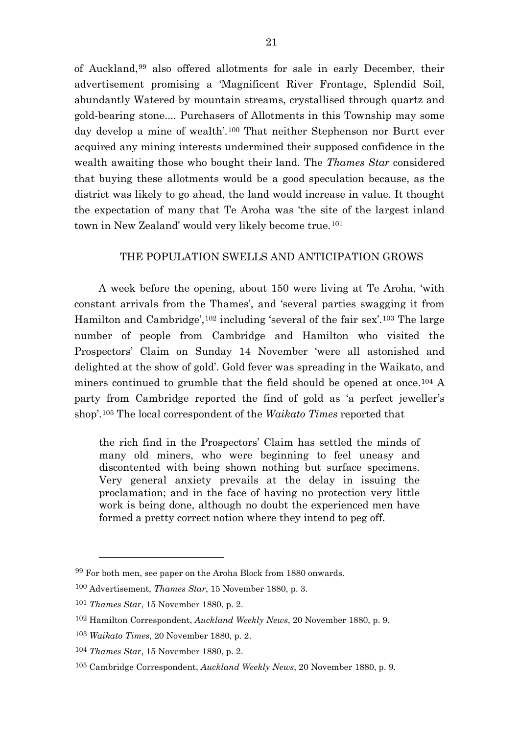of Auckland,[99](#page-21-0) also offered allotments for sale in early December, their advertisement promising a 'Magnificent River Frontage, Splendid Soil, abundantly Watered by mountain streams, crystallised through quartz and gold-bearing stone.... Purchasers of Allotments in this Township may some day develop a mine of wealth'.[100](#page-21-1) That neither Stephenson nor Burtt ever acquired any mining interests undermined their supposed confidence in the wealth awaiting those who bought their land. The *Thames Star* considered that buying these allotments would be a good speculation because, as the district was likely to go ahead, the land would increase in value. It thought the expectation of many that Te Aroha was 'the site of the largest inland town in New Zealand' would very likely become true.<sup>[101](#page-21-2)</sup>

## THE POPULATION SWELLS AND ANTICIPATION GROWS

A week before the opening, about 150 were living at Te Aroha, 'with constant arrivals from the Thames', and 'several parties swagging it from Hamilton and Cambridge',<sup>[102](#page-21-3)</sup> including 'several of the fair sex'.<sup>[103](#page-21-4)</sup> The large number of people from Cambridge and Hamilton who visited the Prospectors' Claim on Sunday 14 November 'were all astonished and delighted at the show of gold'. Gold fever was spreading in the Waikato, and miners continued to grumble that the field should be opened at once.[104](#page-21-5) A party from Cambridge reported the find of gold as 'a perfect jeweller's shop'.[105](#page-21-6) The local correspondent of the *Waikato Times* reported that

the rich find in the Prospectors' Claim has settled the minds of many old miners, who were beginning to feel uneasy and discontented with being shown nothing but surface specimens. Very general anxiety prevails at the delay in issuing the proclamation; and in the face of having no protection very little work is being done, although no doubt the experienced men have formed a pretty correct notion where they intend to peg off.

<span id="page-21-0"></span><sup>99</sup> For both men, see paper on the Aroha Block from 1880 onwards.

<span id="page-21-1"></span><sup>100</sup> Advertisement, *Thames Star*, 15 November 1880, p. 3.

<span id="page-21-2"></span><sup>101</sup> *Thames Star*, 15 November 1880, p. 2.

<span id="page-21-3"></span><sup>102</sup> Hamilton Correspondent, *Auckland Weekly News*, 20 November 1880, p. 9.

<span id="page-21-4"></span><sup>103</sup> *Waikato Times*, 20 November 1880, p. 2.

<span id="page-21-5"></span><sup>104</sup> *Thames Star*, 15 November 1880, p. 2.

<span id="page-21-6"></span><sup>105</sup> Cambridge Correspondent, *Auckland Weekly News*, 20 November 1880, p. 9.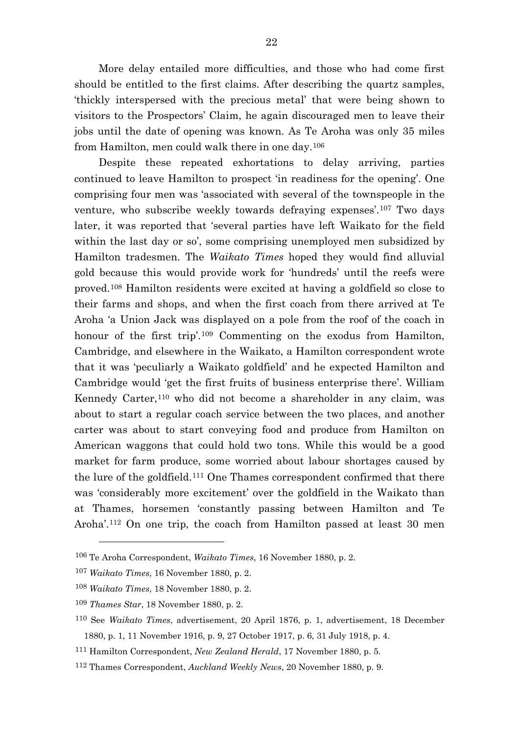More delay entailed more difficulties, and those who had come first should be entitled to the first claims. After describing the quartz samples, 'thickly interspersed with the precious metal' that were being shown to visitors to the Prospectors' Claim, he again discouraged men to leave their jobs until the date of opening was known. As Te Aroha was only 35 miles from Hamilton, men could walk there in one day.[106](#page-22-0)

Despite these repeated exhortations to delay arriving, parties continued to leave Hamilton to prospect 'in readiness for the opening'. One comprising four men was 'associated with several of the townspeople in the venture, who subscribe weekly towards defraying expenses'.[107](#page-22-1) Two days later, it was reported that 'several parties have left Waikato for the field within the last day or so', some comprising unemployed men subsidized by Hamilton tradesmen. The *Waikato Times* hoped they would find alluvial gold because this would provide work for 'hundreds' until the reefs were proved.[108](#page-22-2) Hamilton residents were excited at having a goldfield so close to their farms and shops, and when the first coach from there arrived at Te Aroha 'a Union Jack was displayed on a pole from the roof of the coach in honour of the first trip'.<sup>[109](#page-22-3)</sup> Commenting on the exodus from Hamilton, Cambridge, and elsewhere in the Waikato, a Hamilton correspondent wrote that it was 'peculiarly a Waikato goldfield' and he expected Hamilton and Cambridge would 'get the first fruits of business enterprise there'. William Kennedy Carter,<sup>[110](#page-22-4)</sup> who did not become a shareholder in any claim, was about to start a regular coach service between the two places, and another carter was about to start conveying food and produce from Hamilton on American waggons that could hold two tons. While this would be a good market for farm produce, some worried about labour shortages caused by the lure of the goldfield.[111](#page-22-5) One Thames correspondent confirmed that there was 'considerably more excitement' over the goldfield in the Waikato than at Thames, horsemen 'constantly passing between Hamilton and Te Aroha'.[112](#page-22-6) On one trip, the coach from Hamilton passed at least 30 men

<span id="page-22-0"></span><sup>106</sup> Te Aroha Correspondent, *Waikato Times*, 16 November 1880, p. 2.

<span id="page-22-1"></span><sup>107</sup> *Waikato Times*, 16 November 1880, p. 2.

<span id="page-22-2"></span><sup>108</sup> *Waikato Times*, 18 November 1880, p. 2.

<span id="page-22-3"></span><sup>109</sup> *Thames Star*, 18 November 1880, p. 2.

<span id="page-22-4"></span><sup>110</sup> See *Waikato Times*, advertisement, 20 April 1876, p. 1, advertisement, 18 December 1880, p. 1, 11 November 1916, p. 9, 27 October 1917, p. 6, 31 July 1918, p. 4.

<span id="page-22-5"></span><sup>111</sup> Hamilton Correspondent, *New Zealand Herald*, 17 November 1880, p. 5.

<span id="page-22-6"></span><sup>112</sup> Thames Correspondent, *Auckland Weekly News*, 20 November 1880, p. 9.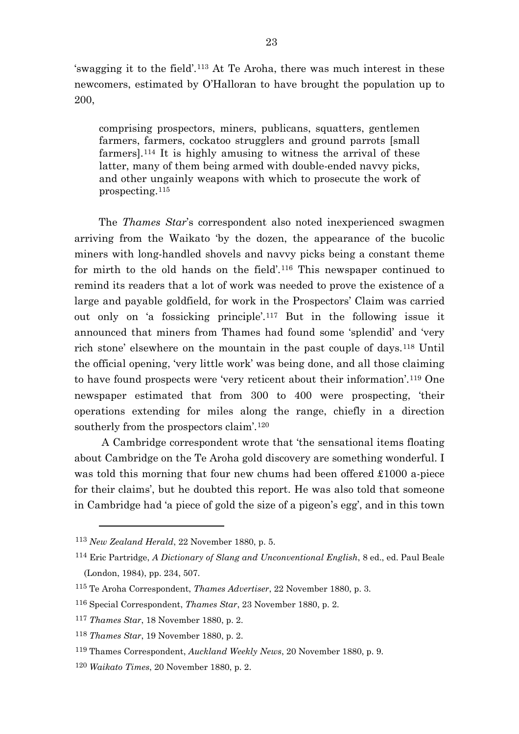'swagging it to the field'.[113](#page-23-0) At Te Aroha, there was much interest in these newcomers, estimated by O'Halloran to have brought the population up to 200,

comprising prospectors, miners, publicans, squatters, gentlemen farmers, farmers, cockatoo strugglers and ground parrots [small farmers].[114](#page-23-1) It is highly amusing to witness the arrival of these latter, many of them being armed with double-ended navvy picks, and other ungainly weapons with which to prosecute the work of prospecting.[115](#page-23-2)

The *Thames Star*'s correspondent also noted inexperienced swagmen arriving from the Waikato 'by the dozen, the appearance of the bucolic miners with long-handled shovels and navvy picks being a constant theme for mirth to the old hands on the field'.[116](#page-23-3) This newspaper continued to remind its readers that a lot of work was needed to prove the existence of a large and payable goldfield, for work in the Prospectors' Claim was carried out only on 'a fossicking principle'.[117](#page-23-4) But in the following issue it announced that miners from Thames had found some 'splendid' and 'very rich stone' elsewhere on the mountain in the past couple of days.[118](#page-23-5) Until the official opening, 'very little work' was being done, and all those claiming to have found prospects were 'very reticent about their information'.[119](#page-23-6) One newspaper estimated that from 300 to 400 were prospecting, 'their operations extending for miles along the range, chiefly in a direction southerly from the prospectors claim'.<sup>[120](#page-23-7)</sup>

A Cambridge correspondent wrote that 'the sensational items floating about Cambridge on the Te Aroha gold discovery are something wonderful. I was told this morning that four new chums had been offered £1000 a-piece for their claims', but he doubted this report. He was also told that someone in Cambridge had 'a piece of gold the size of a pigeon's egg', and in this town

<span id="page-23-0"></span><sup>113</sup> *New Zealand Herald*, 22 November 1880, p. 5.

<span id="page-23-1"></span><sup>114</sup> Eric Partridge, *A Dictionary of Slang and Unconventional English*, 8 ed., ed. Paul Beale (London, 1984), pp. 234, 507.

<span id="page-23-2"></span><sup>115</sup> Te Aroha Correspondent, *Thames Advertiser*, 22 November 1880, p. 3.

<span id="page-23-3"></span><sup>116</sup> Special Correspondent, *Thames Star*, 23 November 1880, p. 2.

<span id="page-23-4"></span><sup>117</sup> *Thames Star*, 18 November 1880, p. 2.

<span id="page-23-5"></span><sup>118</sup> *Thames Star*, 19 November 1880, p. 2.

<span id="page-23-6"></span><sup>119</sup> Thames Correspondent, *Auckland Weekly News*, 20 November 1880, p. 9.

<span id="page-23-7"></span><sup>120</sup> *Waikato Times*, 20 November 1880, p. 2.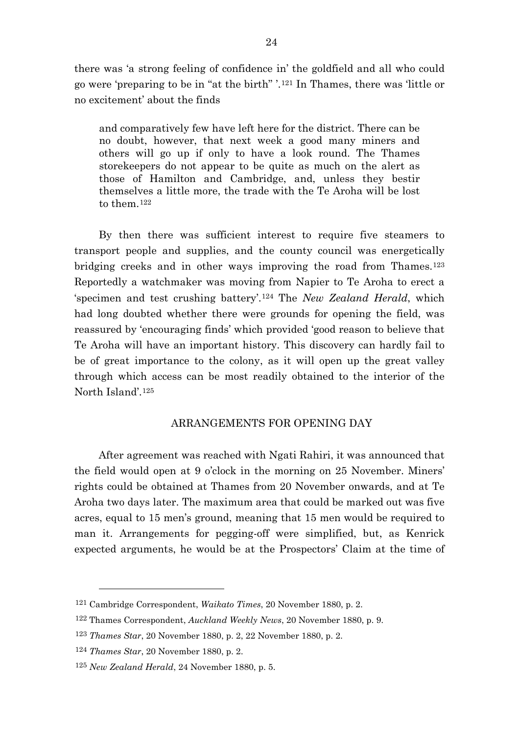there was 'a strong feeling of confidence in' the goldfield and all who could go were 'preparing to be in "at the birth" '.[121](#page-24-0) In Thames, there was 'little or no excitement' about the finds

and comparatively few have left here for the district. There can be no doubt, however, that next week a good many miners and others will go up if only to have a look round. The Thames storekeepers do not appear to be quite as much on the alert as those of Hamilton and Cambridge, and, unless they bestir themselves a little more, the trade with the Te Aroha will be lost to them.[122](#page-24-1)

By then there was sufficient interest to require five steamers to transport people and supplies, and the county council was energetically bridging creeks and in other ways improving the road from Thames.<sup>[123](#page-24-2)</sup> Reportedly a watchmaker was moving from Napier to Te Aroha to erect a 'specimen and test crushing battery'.[124](#page-24-3) The *New Zealand Herald*, which had long doubted whether there were grounds for opening the field, was reassured by 'encouraging finds' which provided 'good reason to believe that Te Aroha will have an important history. This discovery can hardly fail to be of great importance to the colony, as it will open up the great valley through which access can be most readily obtained to the interior of the North Island'.[125](#page-24-4)

### ARRANGEMENTS FOR OPENING DAY

After agreement was reached with Ngati Rahiri, it was announced that the field would open at 9 o'clock in the morning on 25 November. Miners' rights could be obtained at Thames from 20 November onwards, and at Te Aroha two days later. The maximum area that could be marked out was five acres, equal to 15 men's ground, meaning that 15 men would be required to man it. Arrangements for pegging-off were simplified, but, as Kenrick expected arguments, he would be at the Prospectors' Claim at the time of

<span id="page-24-0"></span><sup>121</sup> Cambridge Correspondent, *Waikato Times*, 20 November 1880, p. 2.

<span id="page-24-1"></span><sup>122</sup> Thames Correspondent, *Auckland Weekly News*, 20 November 1880, p. 9.

<span id="page-24-2"></span><sup>123</sup> *Thames Star*, 20 November 1880, p. 2, 22 November 1880, p. 2.

<span id="page-24-3"></span><sup>124</sup> *Thames Star*, 20 November 1880, p. 2.

<span id="page-24-4"></span><sup>125</sup> *New Zealand Herald*, 24 November 1880, p. 5.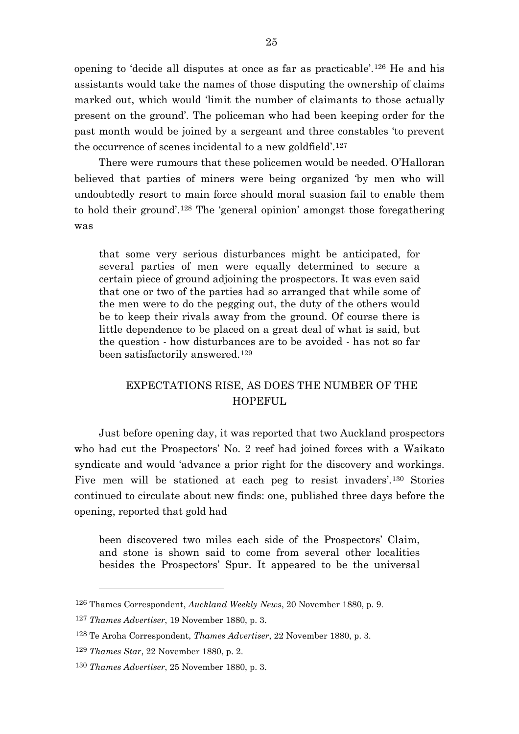opening to 'decide all disputes at once as far as practicable'.[126](#page-25-0) He and his assistants would take the names of those disputing the ownership of claims marked out, which would 'limit the number of claimants to those actually present on the ground'. The policeman who had been keeping order for the past month would be joined by a sergeant and three constables 'to prevent the occurrence of scenes incidental to a new goldfield'.[127](#page-25-1)

There were rumours that these policemen would be needed. O'Halloran believed that parties of miners were being organized 'by men who will undoubtedly resort to main force should moral suasion fail to enable them to hold their ground'.[128](#page-25-2) The 'general opinion' amongst those foregathering was

that some very serious disturbances might be anticipated, for several parties of men were equally determined to secure a certain piece of ground adjoining the prospectors. It was even said that one or two of the parties had so arranged that while some of the men were to do the pegging out, the duty of the others would be to keep their rivals away from the ground. Of course there is little dependence to be placed on a great deal of what is said, but the question - how disturbances are to be avoided - has not so far been satisfactorily answered.[129](#page-25-3)

# EXPECTATIONS RISE, AS DOES THE NUMBER OF THE HOPEFUL.

Just before opening day, it was reported that two Auckland prospectors who had cut the Prospectors' No. 2 reef had joined forces with a Waikato syndicate and would 'advance a prior right for the discovery and workings. Five men will be stationed at each peg to resist invaders'.[130](#page-25-4) Stories continued to circulate about new finds: one, published three days before the opening, reported that gold had

been discovered two miles each side of the Prospectors' Claim, and stone is shown said to come from several other localities besides the Prospectors' Spur. It appeared to be the universal

<span id="page-25-0"></span><sup>126</sup> Thames Correspondent, *Auckland Weekly News*, 20 November 1880, p. 9.

<span id="page-25-2"></span><span id="page-25-1"></span><sup>127</sup> *Thames Advertiser*, 19 November 1880, p. 3.

<sup>128</sup> Te Aroha Correspondent, *Thames Advertiser*, 22 November 1880, p. 3.

<span id="page-25-3"></span><sup>129</sup> *Thames Star*, 22 November 1880, p. 2.

<span id="page-25-4"></span><sup>130</sup> *Thames Advertiser*, 25 November 1880, p. 3.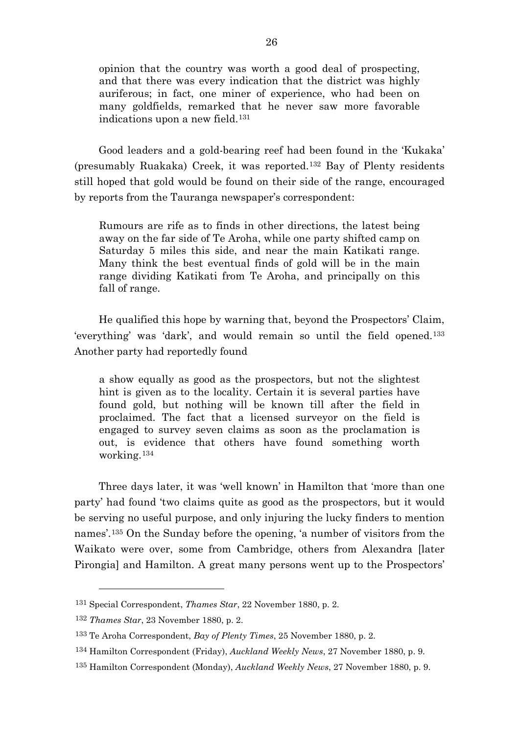opinion that the country was worth a good deal of prospecting, and that there was every indication that the district was highly auriferous; in fact, one miner of experience, who had been on many goldfields, remarked that he never saw more favorable indications upon a new field.[131](#page-26-0)

Good leaders and a gold-bearing reef had been found in the 'Kukaka' (presumably Ruakaka) Creek, it was reported.[132](#page-26-1) Bay of Plenty residents still hoped that gold would be found on their side of the range, encouraged by reports from the Tauranga newspaper's correspondent:

Rumours are rife as to finds in other directions, the latest being away on the far side of Te Aroha, while one party shifted camp on Saturday 5 miles this side, and near the main Katikati range. Many think the best eventual finds of gold will be in the main range dividing Katikati from Te Aroha, and principally on this fall of range.

He qualified this hope by warning that, beyond the Prospectors' Claim, 'everything' was 'dark', and would remain so until the field opened.[133](#page-26-2) Another party had reportedly found

a show equally as good as the prospectors, but not the slightest hint is given as to the locality. Certain it is several parties have found gold, but nothing will be known till after the field in proclaimed. The fact that a licensed surveyor on the field is engaged to survey seven claims as soon as the proclamation is out, is evidence that others have found something worth working.[134](#page-26-3)

Three days later, it was 'well known' in Hamilton that 'more than one party' had found 'two claims quite as good as the prospectors, but it would be serving no useful purpose, and only injuring the lucky finders to mention names'.[135](#page-26-4) On the Sunday before the opening, 'a number of visitors from the Waikato were over, some from Cambridge, others from Alexandra [later Pirongia] and Hamilton. A great many persons went up to the Prospectors'

<span id="page-26-0"></span><sup>131</sup> Special Correspondent, *Thames Star*, 22 November 1880, p. 2.

<span id="page-26-1"></span><sup>132</sup> *Thames Star*, 23 November 1880, p. 2.

<span id="page-26-2"></span><sup>133</sup> Te Aroha Correspondent, *Bay of Plenty Times*, 25 November 1880, p. 2.

<span id="page-26-3"></span><sup>134</sup> Hamilton Correspondent (Friday), *Auckland Weekly News*, 27 November 1880, p. 9.

<span id="page-26-4"></span><sup>135</sup> Hamilton Correspondent (Monday), *Auckland Weekly News*, 27 November 1880, p. 9.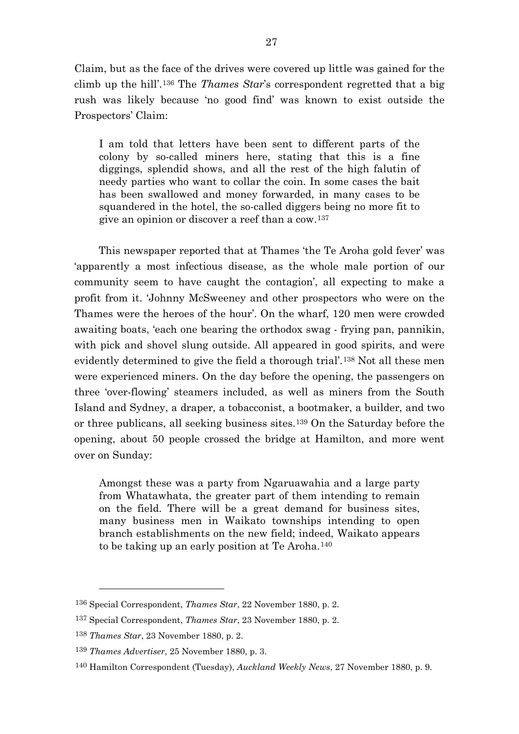Claim, but as the face of the drives were covered up little was gained for the climb up the hill'.[136](#page-27-0) The *Thames Star*'s correspondent regretted that a big rush was likely because 'no good find' was known to exist outside the Prospectors' Claim:

I am told that letters have been sent to different parts of the colony by so-called miners here, stating that this is a fine diggings, splendid shows, and all the rest of the high falutin of needy parties who want to collar the coin. In some cases the bait has been swallowed and money forwarded, in many cases to be squandered in the hotel, the so-called diggers being no more fit to give an opinion or discover a reef than a cow.[137](#page-27-1)

This newspaper reported that at Thames 'the Te Aroha gold fever' was 'apparently a most infectious disease, as the whole male portion of our community seem to have caught the contagion', all expecting to make a profit from it. 'Johnny McSweeney and other prospectors who were on the Thames were the heroes of the hour'. On the wharf, 120 men were crowded awaiting boats, 'each one bearing the orthodox swag - frying pan, pannikin, with pick and shovel slung outside. All appeared in good spirits, and were evidently determined to give the field a thorough trial'.[138](#page-27-2) Not all these men were experienced miners. On the day before the opening, the passengers on three 'over-flowing' steamers included, as well as miners from the South Island and Sydney, a draper, a tobacconist, a bootmaker, a builder, and two or three publicans, all seeking business sites.[139](#page-27-3) On the Saturday before the opening, about 50 people crossed the bridge at Hamilton, and more went over on Sunday:

Amongst these was a party from Ngaruawahia and a large party from Whatawhata, the greater part of them intending to remain on the field. There will be a great demand for business sites, many business men in Waikato townships intending to open branch establishments on the new field; indeed, Waikato appears to be taking up an early position at Te Aroha.[140](#page-27-4)

<span id="page-27-0"></span><sup>136</sup> Special Correspondent, *Thames Star*, 22 November 1880, p. 2.

<span id="page-27-1"></span><sup>137</sup> Special Correspondent, *Thames Star*, 23 November 1880, p. 2.

<span id="page-27-2"></span><sup>138</sup> *Thames Star*, 23 November 1880, p. 2.

<span id="page-27-3"></span><sup>139</sup> *Thames Advertiser*, 25 November 1880, p. 3.

<span id="page-27-4"></span><sup>140</sup> Hamilton Correspondent (Tuesday), *Auckland Weekly News*, 27 November 1880, p. 9.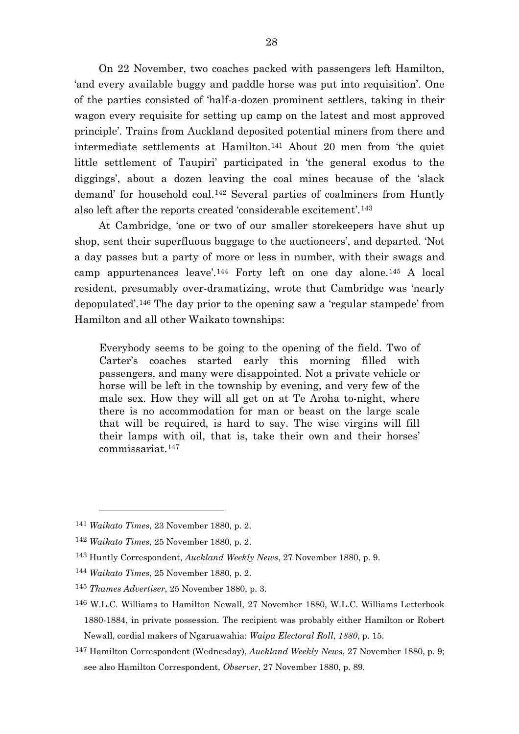On 22 November, two coaches packed with passengers left Hamilton, 'and every available buggy and paddle horse was put into requisition'. One of the parties consisted of 'half-a-dozen prominent settlers, taking in their wagon every requisite for setting up camp on the latest and most approved principle'. Trains from Auckland deposited potential miners from there and intermediate settlements at Hamilton.[141](#page-28-0) About 20 men from 'the quiet little settlement of Taupiri' participated in 'the general exodus to the diggings', about a dozen leaving the coal mines because of the 'slack demand' for household coal.[142](#page-28-1) Several parties of coalminers from Huntly also left after the reports created 'considerable excitement'.[143](#page-28-2)

At Cambridge, 'one or two of our smaller storekeepers have shut up shop, sent their superfluous baggage to the auctioneers', and departed. 'Not a day passes but a party of more or less in number, with their swags and camp appurtenances leave'.[144](#page-28-3) Forty left on one day alone.[145](#page-28-4) A local resident, presumably over-dramatizing, wrote that Cambridge was 'nearly depopulated'.[146](#page-28-5) The day prior to the opening saw a 'regular stampede' from Hamilton and all other Waikato townships:

Everybody seems to be going to the opening of the field. Two of Carter's coaches started early this morning filled with passengers, and many were disappointed. Not a private vehicle or horse will be left in the township by evening, and very few of the male sex. How they will all get on at Te Aroha to-night, where there is no accommodation for man or beast on the large scale that will be required, is hard to say. The wise virgins will fill their lamps with oil, that is, take their own and their horses' commissariat.[147](#page-28-6)

<span id="page-28-0"></span><sup>141</sup> *Waikato Times*, 23 November 1880, p. 2.

<span id="page-28-2"></span><span id="page-28-1"></span><sup>142</sup> *Waikato Times*, 25 November 1880, p. 2.

<sup>143</sup> Huntly Correspondent, *Auckland Weekly News*, 27 November 1880, p. 9.

<span id="page-28-3"></span><sup>144</sup> *Waikato Times*, 25 November 1880, p. 2.

<span id="page-28-4"></span><sup>145</sup> *Thames Advertiser*, 25 November 1880, p. 3.

<span id="page-28-5"></span><sup>146</sup> W.L.C. Williams to Hamilton Newall, 27 November 1880, W.L.C. Williams Letterbook 1880-1884, in private possession. The recipient was probably either Hamilton or Robert Newall, cordial makers of Ngaruawahia: *Waipa Electoral Roll*, *1880*, p. 15.

<span id="page-28-6"></span><sup>147</sup> Hamilton Correspondent (Wednesday), *Auckland Weekly News*, 27 November 1880, p. 9; see also Hamilton Correspondent, *Observer*, 27 November 1880, p. 89.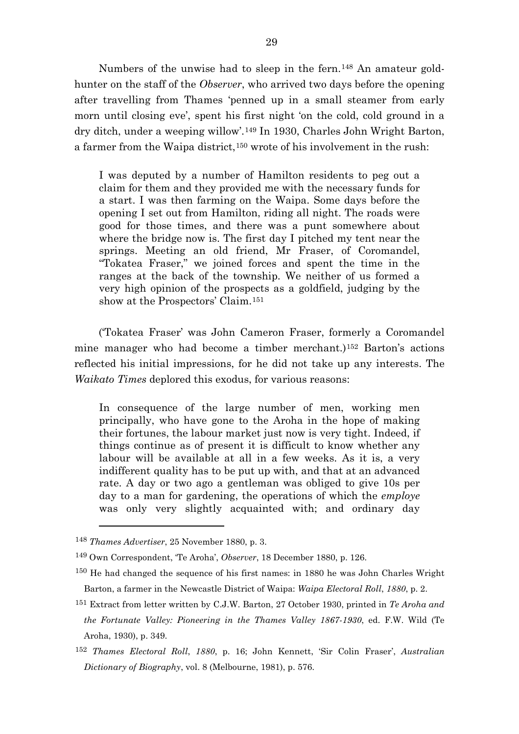Numbers of the unwise had to sleep in the fern.<sup>[148](#page-29-0)</sup> An amateur goldhunter on the staff of the *Observer*, who arrived two days before the opening after travelling from Thames 'penned up in a small steamer from early morn until closing eve', spent his first night 'on the cold, cold ground in a dry ditch, under a weeping willow'.[149](#page-29-1) In 1930, Charles John Wright Barton, a farmer from the Waipa district,[150](#page-29-2) wrote of his involvement in the rush:

I was deputed by a number of Hamilton residents to peg out a claim for them and they provided me with the necessary funds for a start. I was then farming on the Waipa. Some days before the opening I set out from Hamilton, riding all night. The roads were good for those times, and there was a punt somewhere about where the bridge now is. The first day I pitched my tent near the springs. Meeting an old friend, Mr Fraser, of Coromandel, "Tokatea Fraser," we joined forces and spent the time in the ranges at the back of the township. We neither of us formed a very high opinion of the prospects as a goldfield, judging by the show at the Prospectors' Claim.[151](#page-29-3)

('Tokatea Fraser' was John Cameron Fraser, formerly a Coromandel mine manager who had become a timber merchant.)[152](#page-29-4) Barton's actions reflected his initial impressions, for he did not take up any interests. The *Waikato Times* deplored this exodus, for various reasons:

In consequence of the large number of men, working men principally, who have gone to the Aroha in the hope of making their fortunes, the labour market just now is very tight. Indeed, if things continue as of present it is difficult to know whether any labour will be available at all in a few weeks. As it is, a very indifferent quality has to be put up with, and that at an advanced rate. A day or two ago a gentleman was obliged to give 10s per day to a man for gardening, the operations of which the *employe* was only very slightly acquainted with; and ordinary day

<span id="page-29-0"></span><sup>148</sup> *Thames Advertiser*, 25 November 1880, p. 3.

<span id="page-29-1"></span><sup>149</sup> Own Correspondent, 'Te Aroha', *Observer*, 18 December 1880, p. 126.

<span id="page-29-2"></span><sup>150</sup> He had changed the sequence of his first names: in 1880 he was John Charles Wright Barton, a farmer in the Newcastle District of Waipa: *Waipa Electoral Roll*, *1880*, p. 2.

<span id="page-29-3"></span><sup>151</sup> Extract from letter written by C.J.W. Barton, 27 October 1930, printed in *Te Aroha and the Fortunate Valley: Pioneering in the Thames Valley 1867-1930*, ed. F.W. Wild (Te Aroha, 1930), p. 349.

<span id="page-29-4"></span><sup>152</sup> *Thames Electoral Roll*, *1880*, p. 16; John Kennett, 'Sir Colin Fraser', *Australian Dictionary of Biography*, vol. 8 (Melbourne, 1981), p. 576.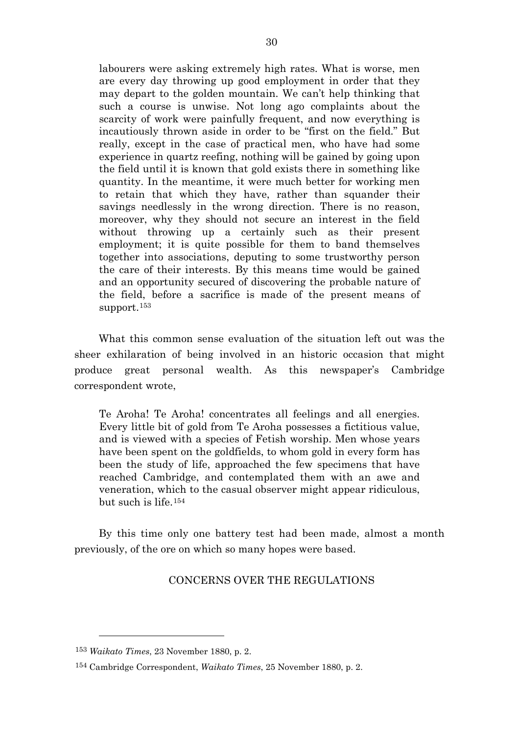labourers were asking extremely high rates. What is worse, men are every day throwing up good employment in order that they may depart to the golden mountain. We can't help thinking that such a course is unwise. Not long ago complaints about the scarcity of work were painfully frequent, and now everything is incautiously thrown aside in order to be "first on the field." But really, except in the case of practical men, who have had some experience in quartz reefing, nothing will be gained by going upon the field until it is known that gold exists there in something like quantity. In the meantime, it were much better for working men to retain that which they have, rather than squander their savings needlessly in the wrong direction. There is no reason, moreover, why they should not secure an interest in the field without throwing up a certainly such as their present employment; it is quite possible for them to band themselves together into associations, deputing to some trustworthy person the care of their interests. By this means time would be gained and an opportunity secured of discovering the probable nature of the field, before a sacrifice is made of the present means of support.[153](#page-30-0)

What this common sense evaluation of the situation left out was the sheer exhilaration of being involved in an historic occasion that might produce great personal wealth. As this newspaper's Cambridge correspondent wrote,

Te Aroha! Te Aroha! concentrates all feelings and all energies. Every little bit of gold from Te Aroha possesses a fictitious value, and is viewed with a species of Fetish worship. Men whose years have been spent on the goldfields, to whom gold in every form has been the study of life, approached the few specimens that have reached Cambridge, and contemplated them with an awe and veneration, which to the casual observer might appear ridiculous, but such is life.[154](#page-30-1)

By this time only one battery test had been made, almost a month previously, of the ore on which so many hopes were based.

### CONCERNS OVER THE REGULATIONS

<span id="page-30-0"></span><sup>153</sup> *Waikato Times*, 23 November 1880, p. 2.

<span id="page-30-1"></span><sup>154</sup> Cambridge Correspondent, *Waikato Times*, 25 November 1880, p. 2.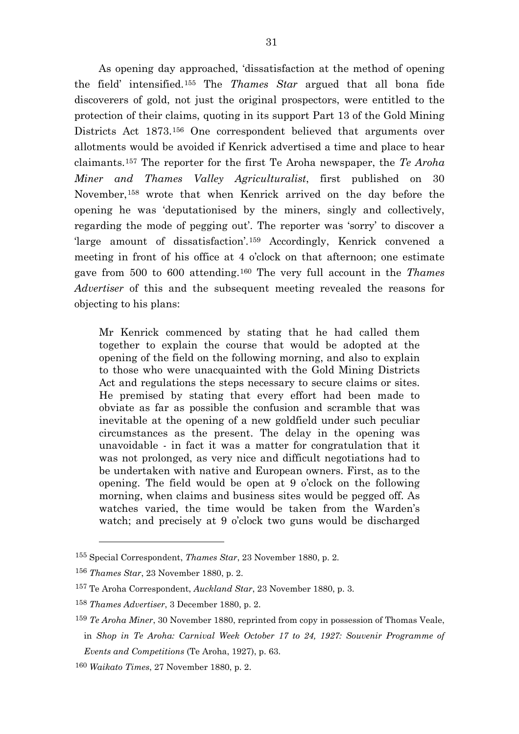As opening day approached, 'dissatisfaction at the method of opening the field' intensified.[155](#page-31-0) The *Thames Star* argued that all bona fide discoverers of gold, not just the original prospectors, were entitled to the protection of their claims, quoting in its support Part 13 of the Gold Mining Districts Act 1873.<sup>[156](#page-31-1)</sup> One correspondent believed that arguments over allotments would be avoided if Kenrick advertised a time and place to hear claimants.[157](#page-31-2) The reporter for the first Te Aroha newspaper, the *Te Aroha Miner and Thames Valley Agriculturalist*, first published on 30 November,[158](#page-31-3) wrote that when Kenrick arrived on the day before the opening he was 'deputationised by the miners, singly and collectively, regarding the mode of pegging out'. The reporter was 'sorry' to discover a 'large amount of dissatisfaction'.[159](#page-31-4) Accordingly, Kenrick convened a meeting in front of his office at 4 o'clock on that afternoon; one estimate gave from 500 to 600 attending.[160](#page-31-5) The very full account in the *Thames Advertiser* of this and the subsequent meeting revealed the reasons for objecting to his plans:

Mr Kenrick commenced by stating that he had called them together to explain the course that would be adopted at the opening of the field on the following morning, and also to explain to those who were unacquainted with the Gold Mining Districts Act and regulations the steps necessary to secure claims or sites. He premised by stating that every effort had been made to obviate as far as possible the confusion and scramble that was inevitable at the opening of a new goldfield under such peculiar circumstances as the present. The delay in the opening was unavoidable - in fact it was a matter for congratulation that it was not prolonged, as very nice and difficult negotiations had to be undertaken with native and European owners. First, as to the opening. The field would be open at 9 o'clock on the following morning, when claims and business sites would be pegged off. As watches varied, the time would be taken from the Warden's watch; and precisely at 9 o'clock two guns would be discharged

<span id="page-31-0"></span><sup>155</sup> Special Correspondent, *Thames Star*, 23 November 1880, p. 2.

<span id="page-31-1"></span><sup>156</sup> *Thames Star*, 23 November 1880, p. 2.

<span id="page-31-2"></span><sup>157</sup> Te Aroha Correspondent, *Auckland Star*, 23 November 1880, p. 3.

<span id="page-31-3"></span><sup>158</sup> *Thames Advertiser*, 3 December 1880, p. 2.

<span id="page-31-4"></span><sup>159</sup> *Te Aroha Miner*, 30 November 1880, reprinted from copy in possession of Thomas Veale, in *Shop in Te Aroha: Carnival Week October 17 to 24, 1927: Souvenir Programme of Events and Competitions* (Te Aroha, 1927), p. 63.

<span id="page-31-5"></span><sup>160</sup> *Waikato Times*, 27 November 1880, p. 2.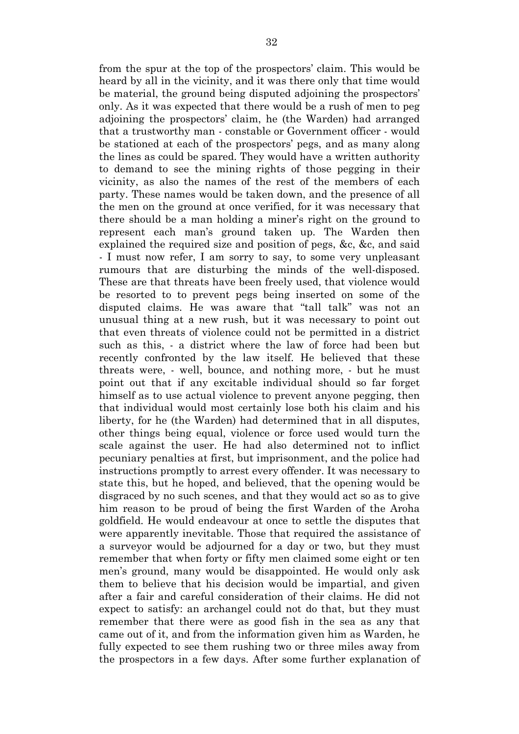from the spur at the top of the prospectors' claim. This would be heard by all in the vicinity, and it was there only that time would be material, the ground being disputed adjoining the prospectors' only. As it was expected that there would be a rush of men to peg adjoining the prospectors' claim, he (the Warden) had arranged that a trustworthy man - constable or Government officer - would be stationed at each of the prospectors' pegs, and as many along the lines as could be spared. They would have a written authority to demand to see the mining rights of those pegging in their vicinity, as also the names of the rest of the members of each party. These names would be taken down, and the presence of all the men on the ground at once verified, for it was necessary that there should be a man holding a miner's right on the ground to represent each man's ground taken up. The Warden then explained the required size and position of pegs, &c, &c, and said - I must now refer, I am sorry to say, to some very unpleasant rumours that are disturbing the minds of the well-disposed. These are that threats have been freely used, that violence would be resorted to to prevent pegs being inserted on some of the disputed claims. He was aware that "tall talk" was not an unusual thing at a new rush, but it was necessary to point out that even threats of violence could not be permitted in a district such as this, - a district where the law of force had been but recently confronted by the law itself. He believed that these threats were, - well, bounce, and nothing more, - but he must point out that if any excitable individual should so far forget himself as to use actual violence to prevent anyone pegging, then that individual would most certainly lose both his claim and his liberty, for he (the Warden) had determined that in all disputes, other things being equal, violence or force used would turn the scale against the user. He had also determined not to inflict pecuniary penalties at first, but imprisonment, and the police had instructions promptly to arrest every offender. It was necessary to state this, but he hoped, and believed, that the opening would be disgraced by no such scenes, and that they would act so as to give him reason to be proud of being the first Warden of the Aroha goldfield. He would endeavour at once to settle the disputes that were apparently inevitable. Those that required the assistance of a surveyor would be adjourned for a day or two, but they must remember that when forty or fifty men claimed some eight or ten men's ground, many would be disappointed. He would only ask them to believe that his decision would be impartial, and given after a fair and careful consideration of their claims. He did not expect to satisfy: an archangel could not do that, but they must remember that there were as good fish in the sea as any that came out of it, and from the information given him as Warden, he fully expected to see them rushing two or three miles away from the prospectors in a few days. After some further explanation of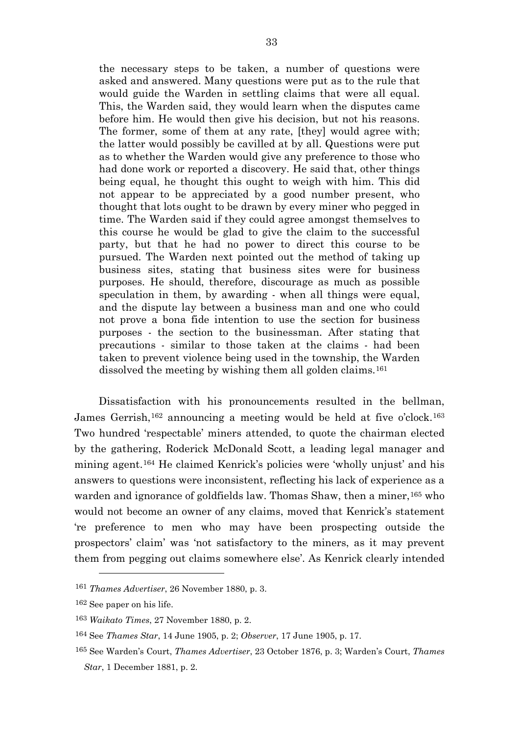the necessary steps to be taken, a number of questions were asked and answered. Many questions were put as to the rule that would guide the Warden in settling claims that were all equal. This, the Warden said, they would learn when the disputes came before him. He would then give his decision, but not his reasons. The former, some of them at any rate, [they] would agree with; the latter would possibly be cavilled at by all. Questions were put as to whether the Warden would give any preference to those who had done work or reported a discovery. He said that, other things being equal, he thought this ought to weigh with him. This did not appear to be appreciated by a good number present, who thought that lots ought to be drawn by every miner who pegged in time. The Warden said if they could agree amongst themselves to this course he would be glad to give the claim to the successful party, but that he had no power to direct this course to be pursued. The Warden next pointed out the method of taking up business sites, stating that business sites were for business purposes. He should, therefore, discourage as much as possible speculation in them, by awarding - when all things were equal, and the dispute lay between a business man and one who could not prove a bona fide intention to use the section for business purposes - the section to the businessman. After stating that precautions - similar to those taken at the claims - had been taken to prevent violence being used in the township, the Warden dissolved the meeting by wishing them all golden claims.<sup>[161](#page-33-0)</sup>

Dissatisfaction with his pronouncements resulted in the bellman, James Gerrish,<sup>[162](#page-33-1)</sup> announcing a meeting would be held at five o'clock.<sup>[163](#page-33-2)</sup> Two hundred 'respectable' miners attended, to quote the chairman elected by the gathering, Roderick McDonald Scott, a leading legal manager and mining agent.[164](#page-33-3) He claimed Kenrick's policies were 'wholly unjust' and his answers to questions were inconsistent, reflecting his lack of experience as a warden and ignorance of goldfields law. Thomas Shaw, then a miner, <sup>[165](#page-33-4)</sup> who would not become an owner of any claims, moved that Kenrick's statement 're preference to men who may have been prospecting outside the prospectors' claim' was 'not satisfactory to the miners, as it may prevent them from pegging out claims somewhere else'. As Kenrick clearly intended

<span id="page-33-0"></span><sup>161</sup> *Thames Advertiser*, 26 November 1880, p. 3.

<span id="page-33-1"></span><sup>162</sup> See paper on his life.

<span id="page-33-2"></span><sup>163</sup> *Waikato Times*, 27 November 1880, p. 2.

<span id="page-33-3"></span><sup>164</sup> See *Thames Star*, 14 June 1905, p. 2; *Observer*, 17 June 1905, p. 17.

<span id="page-33-4"></span><sup>165</sup> See Warden's Court, *Thames Advertiser*, 23 October 1876, p. 3; Warden's Court, *Thames Star*, 1 December 1881, p. 2.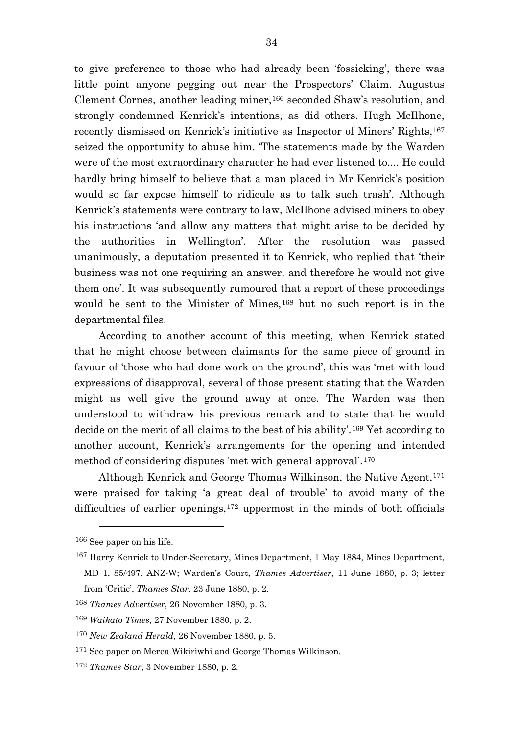to give preference to those who had already been 'fossicking', there was little point anyone pegging out near the Prospectors' Claim. Augustus Clement Cornes, another leading miner,[166](#page-34-0) seconded Shaw's resolution, and strongly condemned Kenrick's intentions, as did others. Hugh McIlhone, recently dismissed on Kenrick's initiative as Inspector of Miners' Rights,<sup>[167](#page-34-1)</sup> seized the opportunity to abuse him. 'The statements made by the Warden were of the most extraordinary character he had ever listened to.... He could hardly bring himself to believe that a man placed in Mr Kenrick's position would so far expose himself to ridicule as to talk such trash'. Although Kenrick's statements were contrary to law, McIlhone advised miners to obey his instructions 'and allow any matters that might arise to be decided by the authorities in Wellington'. After the resolution was passed unanimously, a deputation presented it to Kenrick, who replied that 'their business was not one requiring an answer, and therefore he would not give them one'. It was subsequently rumoured that a report of these proceedings would be sent to the Minister of Mines,<sup>[168](#page-34-2)</sup> but no such report is in the departmental files.

According to another account of this meeting, when Kenrick stated that he might choose between claimants for the same piece of ground in favour of 'those who had done work on the ground', this was 'met with loud expressions of disapproval, several of those present stating that the Warden might as well give the ground away at once. The Warden was then understood to withdraw his previous remark and to state that he would decide on the merit of all claims to the best of his ability'.[169](#page-34-3) Yet according to another account, Kenrick's arrangements for the opening and intended method of considering disputes 'met with general approval'.[170](#page-34-4)

Although Kenrick and George Thomas Wilkinson, the Native Agent,<sup>[171](#page-34-5)</sup> were praised for taking 'a great deal of trouble' to avoid many of the difficulties of earlier openings,<sup>[172](#page-34-6)</sup> uppermost in the minds of both officials

<span id="page-34-0"></span><sup>166</sup> See paper on his life.

<span id="page-34-1"></span><sup>167</sup> Harry Kenrick to Under-Secretary, Mines Department, 1 May 1884, Mines Department, MD 1, 85/497, ANZ-W; Warden's Court, *Thames Advertiser*, 11 June 1880, p. 3; letter

from 'Critic', *Thames Star*. 23 June 1880, p. 2.

<span id="page-34-2"></span><sup>168</sup> *Thames Advertiser*, 26 November 1880, p. 3.

<span id="page-34-3"></span><sup>169</sup> *Waikato Times*, 27 November 1880, p. 2.

<span id="page-34-4"></span><sup>170</sup> *New Zealand Herald*, 26 November 1880, p. 5.

<span id="page-34-5"></span><sup>&</sup>lt;sup>171</sup> See paper on Merea Wikiriwhi and George Thomas Wilkinson.

<span id="page-34-6"></span><sup>172</sup> *Thames Star*, 3 November 1880, p. 2.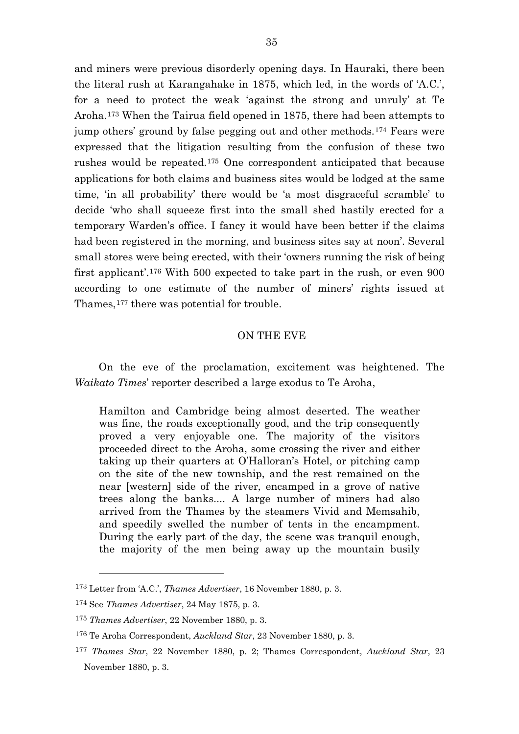and miners were previous disorderly opening days. In Hauraki, there been the literal rush at Karangahake in 1875, which led, in the words of 'A.C.', for a need to protect the weak 'against the strong and unruly' at Te Aroha.[173](#page-35-0) When the Tairua field opened in 1875, there had been attempts to jump others' ground by false pegging out and other methods.[174](#page-35-1) Fears were expressed that the litigation resulting from the confusion of these two rushes would be repeated.[175](#page-35-2) One correspondent anticipated that because applications for both claims and business sites would be lodged at the same time, 'in all probability' there would be 'a most disgraceful scramble' to decide 'who shall squeeze first into the small shed hastily erected for a temporary Warden's office. I fancy it would have been better if the claims had been registered in the morning, and business sites say at noon'. Several small stores were being erected, with their 'owners running the risk of being first applicant'.[176](#page-35-3) With 500 expected to take part in the rush, or even 900 according to one estimate of the number of miners' rights issued at Thames,<sup>[177](#page-35-4)</sup> there was potential for trouble.

### ON THE EVE

On the eve of the proclamation, excitement was heightened. The *Waikato Times*' reporter described a large exodus to Te Aroha,

Hamilton and Cambridge being almost deserted. The weather was fine, the roads exceptionally good, and the trip consequently proved a very enjoyable one. The majority of the visitors proceeded direct to the Aroha, some crossing the river and either taking up their quarters at O'Halloran's Hotel, or pitching camp on the site of the new township, and the rest remained on the near [western] side of the river, encamped in a grove of native trees along the banks.... A large number of miners had also arrived from the Thames by the steamers Vivid and Memsahib, and speedily swelled the number of tents in the encampment. During the early part of the day, the scene was tranquil enough, the majority of the men being away up the mountain busily

<span id="page-35-0"></span><sup>173</sup> Letter from 'A.C.', *Thames Advertiser*, 16 November 1880, p. 3.

<span id="page-35-1"></span><sup>174</sup> See *Thames Advertiser*, 24 May 1875, p. 3.

<span id="page-35-2"></span><sup>175</sup> *Thames Advertiser*, 22 November 1880, p. 3.

<span id="page-35-3"></span><sup>176</sup> Te Aroha Correspondent, *Auckland Star*, 23 November 1880, p. 3.

<span id="page-35-4"></span><sup>177</sup> *Thames Star*, 22 November 1880, p. 2; Thames Correspondent, *Auckland Star*, 23 November 1880, p. 3.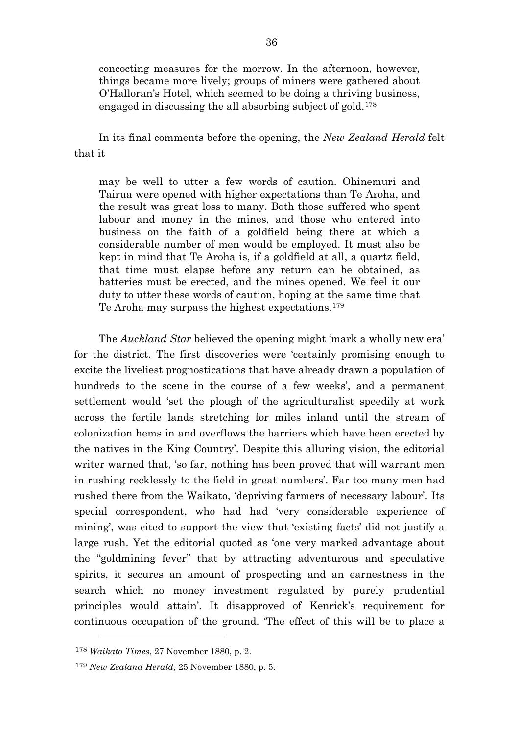concocting measures for the morrow. In the afternoon, however, things became more lively; groups of miners were gathered about O'Halloran's Hotel, which seemed to be doing a thriving business, engaged in discussing the all absorbing subject of gold.[178](#page-36-0)

In its final comments before the opening, the *New Zealand Herald* felt that it

may be well to utter a few words of caution. Ohinemuri and Tairua were opened with higher expectations than Te Aroha, and the result was great loss to many. Both those suffered who spent labour and money in the mines, and those who entered into business on the faith of a goldfield being there at which a considerable number of men would be employed. It must also be kept in mind that Te Aroha is, if a goldfield at all, a quartz field, that time must elapse before any return can be obtained, as batteries must be erected, and the mines opened. We feel it our duty to utter these words of caution, hoping at the same time that Te Aroha may surpass the highest expectations.[179](#page-36-1)

The *Auckland Star* believed the opening might 'mark a wholly new era' for the district. The first discoveries were 'certainly promising enough to excite the liveliest prognostications that have already drawn a population of hundreds to the scene in the course of a few weeks', and a permanent settlement would 'set the plough of the agriculturalist speedily at work across the fertile lands stretching for miles inland until the stream of colonization hems in and overflows the barriers which have been erected by the natives in the King Country'. Despite this alluring vision, the editorial writer warned that, 'so far, nothing has been proved that will warrant men in rushing recklessly to the field in great numbers'. Far too many men had rushed there from the Waikato, 'depriving farmers of necessary labour'. Its special correspondent, who had had 'very considerable experience of mining', was cited to support the view that 'existing facts' did not justify a large rush. Yet the editorial quoted as 'one very marked advantage about the "goldmining fever" that by attracting adventurous and speculative spirits, it secures an amount of prospecting and an earnestness in the search which no money investment regulated by purely prudential principles would attain'. It disapproved of Kenrick's requirement for continuous occupation of the ground. 'The effect of this will be to place a

<span id="page-36-0"></span><sup>178</sup> *Waikato Times*, 27 November 1880, p. 2.

<span id="page-36-1"></span><sup>179</sup> *New Zealand Herald*, 25 November 1880, p. 5.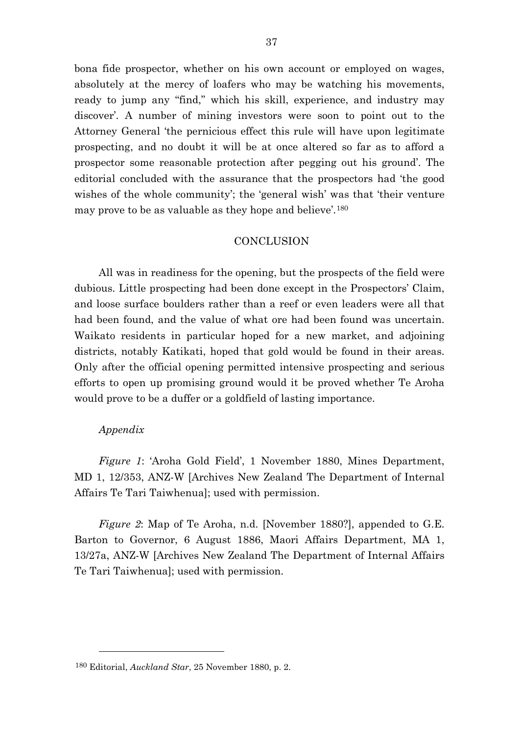bona fide prospector, whether on his own account or employed on wages, absolutely at the mercy of loafers who may be watching his movements, ready to jump any "find," which his skill, experience, and industry may discover'. A number of mining investors were soon to point out to the Attorney General 'the pernicious effect this rule will have upon legitimate prospecting, and no doubt it will be at once altered so far as to afford a prospector some reasonable protection after pegging out his ground'. The editorial concluded with the assurance that the prospectors had 'the good wishes of the whole community'; the 'general wish' was that 'their venture may prove to be as valuable as they hope and believe'.[180](#page-37-0)

### **CONCLUSION**

All was in readiness for the opening, but the prospects of the field were dubious. Little prospecting had been done except in the Prospectors' Claim, and loose surface boulders rather than a reef or even leaders were all that had been found, and the value of what ore had been found was uncertain. Waikato residents in particular hoped for a new market, and adjoining districts, notably Katikati, hoped that gold would be found in their areas. Only after the official opening permitted intensive prospecting and serious efforts to open up promising ground would it be proved whether Te Aroha would prove to be a duffer or a goldfield of lasting importance.

# *Appendix*

l

*Figure 1*: 'Aroha Gold Field', 1 November 1880, Mines Department, MD 1, 12/353, ANZ-W [Archives New Zealand The Department of Internal Affairs Te Tari Taiwhenua]; used with permission.

*Figure 2*: Map of Te Aroha, n.d. [November 1880?], appended to G.E. Barton to Governor, 6 August 1886, Maori Affairs Department, MA 1, 13/27a, ANZ-W [Archives New Zealand The Department of Internal Affairs Te Tari Taiwhenua]; used with permission.

<span id="page-37-0"></span><sup>180</sup> Editorial, *Auckland Star*, 25 November 1880, p. 2.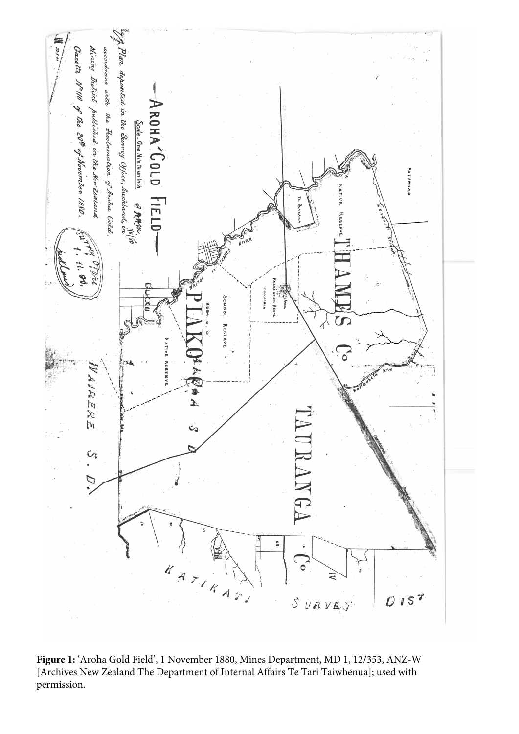

**Figure 1:** 'Aroha Gold Field', 1 November 1880, Mines Department, MD 1, 12/353, ANZ-W [Archives New Zealand The Department of Internal Affairs Te Tari Taiwhenua]; used with permission.